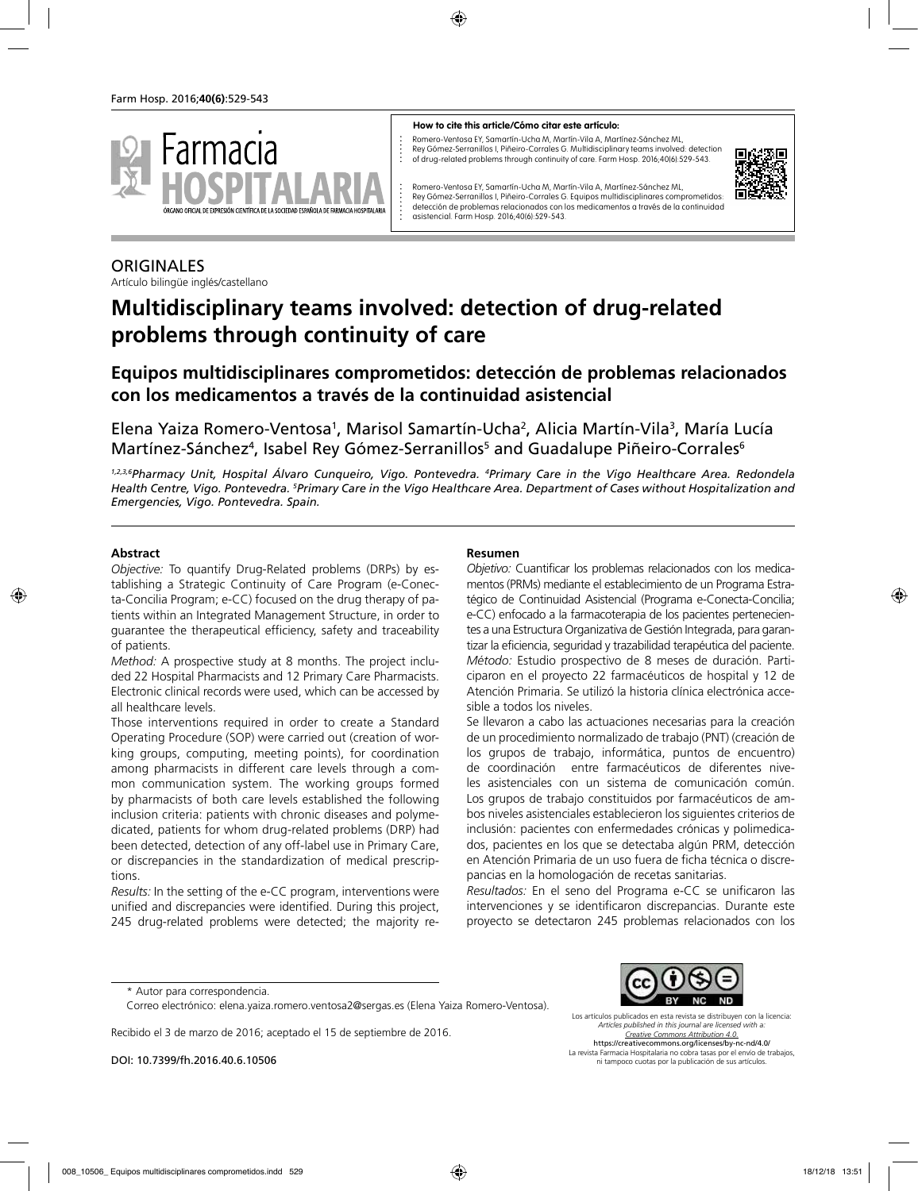

#### **How to cite this article/Cómo citar este artículo:**

Romero-Ventosa EY, Samartín-Ucha M, Martín-Vila A, Martínez-Sánchez ML, Rey Gómez-Serranillos I, Piñeiro-Corrales G. Multidisciplinary teams involved: detection of drug-related problems through continuity of care. Farm Hosp. 2016;40(6):529-543.



Romero-Ventosa EY, Samartín-Ucha M, Martín-Vila A, Martínez-Sánchez ML, Rey Gómez-Serranillos I, Piñeiro-Corrales G. Equipos multidisciplinares comprometidos: detección de problemas relacionados con los medicamentos a través de la continuidad asistencial. Farm Hosp. 2016;40(6):529-543.

#### **ORIGINALES**

Artículo bilingüe inglés/castellano

# **Multidisciplinary teams involved: detection of drug-related problems through continuity of care**

## **Equipos multidisciplinares comprometidos: detección de problemas relacionados con los medicamentos a través de la continuidad asistencial**

Elena Yaiza Romero-Ventosa<sup>1</sup>, Marisol Samartín-Ucha<sup>2</sup>, Alicia Martín-Vila<sup>3</sup>, María Lucía Martínez-Sánchez<sup>4</sup>, Isabel Rey Gómez-Serranillos<sup>5</sup> and Guadalupe Piñeiro-Corrales<sup>6</sup>

*1,2,3,6Pharmacy Unit, Hospital Álvaro Cunqueiro, Vigo. Pontevedra. 4 Primary Care in the Vigo Healthcare Area. Redondela Health Centre, Vigo. Pontevedra. 5 Primary Care in the Vigo Healthcare Area. Department of Cases without Hospitalization and Emergencies, Vigo. Pontevedra. Spain.*

#### **Abstract**

*Objective:* To quantify Drug-Related problems (DRPs) by establishing a Strategic Continuity of Care Program (e-Conecta-Concilia Program; e-CC) focused on the drug therapy of patients within an Integrated Management Structure, in order to guarantee the therapeutical efficiency, safety and traceability of patients.

*Method:* A prospective study at 8 months. The project included 22 Hospital Pharmacists and 12 Primary Care Pharmacists. Electronic clinical records were used, which can be accessed by all healthcare levels.

Those interventions required in order to create a Standard Operating Procedure (SOP) were carried out (creation of working groups, computing, meeting points), for coordination among pharmacists in different care levels through a common communication system. The working groups formed by pharmacists of both care levels established the following inclusion criteria: patients with chronic diseases and polymedicated, patients for whom drug-related problems (DRP) had been detected, detection of any off-label use in Primary Care, or discrepancies in the standardization of medical prescriptions.

*Results:* In the setting of the e-CC program, interventions were unified and discrepancies were identified. During this project, 245 drug-related problems were detected; the majority re-

#### **Resumen**

*Objetivo:* Cuantificar los problemas relacionados con los medicamentos (PRMs) mediante el establecimiento de un Programa Estratégico de Continuidad Asistencial (Programa e-Conecta-Concilia; e-CC) enfocado a la farmacoterapia de los pacientes pertenecientes a una Estructura Organizativa de Gestión Integrada, para garantizar la eficiencia, seguridad y trazabilidad terapéutica del paciente. *Método:* Estudio prospectivo de 8 meses de duración. Participaron en el proyecto 22 farmacéuticos de hospital y 12 de Atención Primaria. Se utilizó la historia clínica electrónica accesible a todos los niveles.

Se llevaron a cabo las actuaciones necesarias para la creación de un procedimiento normalizado de trabajo (PNT) (creación de los grupos de trabajo, informática, puntos de encuentro) de coordinación entre farmacéuticos de diferentes niveles asistenciales con un sistema de comunicación común. Los grupos de trabajo constituidos por farmacéuticos de ambos niveles asistenciales establecieron los siguientes criterios de inclusión: pacientes con enfermedades crónicas y polimedicados, pacientes en los que se detectaba algún PRM, detección en Atención Primaria de un uso fuera de ficha técnica o discrepancias en la homologación de recetas sanitarias.

*Resultados:* En el seno del Programa e-CC se unificaron las intervenciones y se identificaron discrepancias. Durante este proyecto se detectaron 245 problemas relacionados con los

Recibido el 3 de marzo de 2016; aceptado el 15 de septiembre de 2016.

DOI: 10.7399/fh.2016.40.6.10506



Los artículos publicados en esta revista se distribuyen con la licencia: *Articles published in this journal are licensed with a: Creative Commons Attribution 4.0.* https://creativecommons.org/licenses/by-nc-nd/4.0/

La revista Farmacia Hospitalaria no cobra tasas por el envío de trabajos, ni tampoco cuotas por la publicación de sus artículos.

<sup>\*</sup> Autor para correspondencia.

Correo electrónico: elena.yaiza.romero.ventosa2@sergas.es (Elena Yaiza Romero-Ventosa).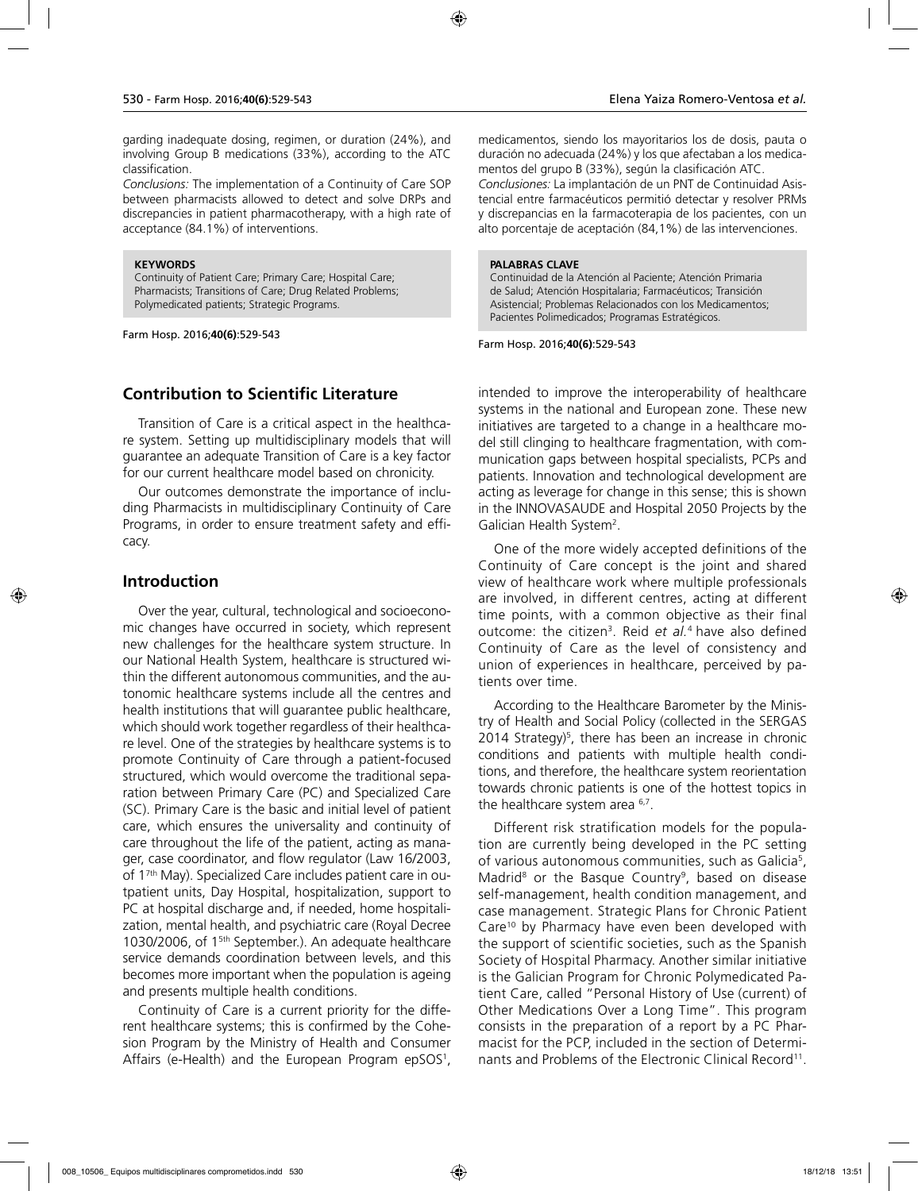garding inadequate dosing, regimen, or duration (24%), and involving Group B medications (33%), according to the ATC classification.

*Conclusions:* The implementation of a Continuity of Care SOP between pharmacists allowed to detect and solve DRPs and discrepancies in patient pharmacotherapy, with a high rate of acceptance (84.1%) of interventions.

#### **KEYWORDS**

Continuity of Patient Care; Primary Care; Hospital Care; Pharmacists; Transitions of Care; Drug Related Problems; Polymedicated patients; Strategic Programs.

Farm Hosp. 2016;**40(6)**:529-543

#### **Contribution to Scientific Literature**

Transition of Care is a critical aspect in the healthcare system. Setting up multidisciplinary models that will guarantee an adequate Transition of Care is a key factor for our current healthcare model based on chronicity.

Our outcomes demonstrate the importance of including Pharmacists in multidisciplinary Continuity of Care Programs, in order to ensure treatment safety and efficacy.

#### **Introduction**

Over the year, cultural, technological and socioeconomic changes have occurred in society, which represent new challenges for the healthcare system structure. In our National Health System, healthcare is structured within the different autonomous communities, and the autonomic healthcare systems include all the centres and health institutions that will guarantee public healthcare, which should work together regardless of their healthcare level. One of the strategies by healthcare systems is to promote Continuity of Care through a patient-focused structured, which would overcome the traditional separation between Primary Care (PC) and Specialized Care (SC). Primary Care is the basic and initial level of patient care, which ensures the universality and continuity of care throughout the life of the patient, acting as manager, case coordinator, and flow regulator (Law 16/2003, of 17th May). Specialized Care includes patient care in outpatient units, Day Hospital, hospitalization, support to PC at hospital discharge and, if needed, home hospitalization, mental health, and psychiatric care (Royal Decree 1030/2006, of 15th September.). An adequate healthcare service demands coordination between levels, and this becomes more important when the population is ageing and presents multiple health conditions.

Continuity of Care is a current priority for the different healthcare systems; this is confirmed by the Cohesion Program by the Ministry of Health and Consumer Affairs (e-Health) and the European Program epSOS1 , medicamentos, siendo los mayoritarios los de dosis, pauta o duración no adecuada (24%) y los que afectaban a los medicamentos del grupo B (33%), según la clasificación ATC. *Conclusiones:* La implantación de un PNT de Continuidad Asistencial entre farmacéuticos permitió detectar y resolver PRMs y discrepancias en la farmacoterapia de los pacientes, con un alto porcentaje de aceptación (84,1%) de las intervenciones.

#### **PALABRAS CLAVE**

Continuidad de la Atención al Paciente; Atención Primaria de Salud; Atención Hospitalaria; Farmacéuticos; Transición Asistencial; Problemas Relacionados con los Medicamentos; Pacientes Polimedicados; Programas Estratégicos.

Farm Hosp. 2016;**40(6)**:529-543

intended to improve the interoperability of healthcare systems in the national and European zone. These new initiatives are targeted to a change in a healthcare model still clinging to healthcare fragmentation, with communication gaps between hospital specialists, PCPs and patients. Innovation and technological development are acting as leverage for change in this sense; this is shown in the INNOVASAUDE and Hospital 2050 Projects by the Galician Health System<sup>2</sup>.

One of the more widely accepted definitions of the Continuity of Care concept is the joint and shared view of healthcare work where multiple professionals are involved, in different centres, acting at different time points, with a common objective as their final outcome: the citizen<sup>3</sup>. Reid *et al.<sup>4</sup>* have also defined Continuity of Care as the level of consistency and union of experiences in healthcare, perceived by patients over time.

According to the Healthcare Barometer by the Ministry of Health and Social Policy (collected in the SERGAS 2014 Strategy)<sup>5</sup>, there has been an increase in chronic conditions and patients with multiple health conditions, and therefore, the healthcare system reorientation towards chronic patients is one of the hottest topics in the healthcare system area <sup>6,7</sup>.

Different risk stratification models for the population are currently being developed in the PC setting of various autonomous communities, such as Galicia5, Madrid<sup>8</sup> or the Basque Country<sup>9</sup>, based on disease self-management, health condition management, and case management. Strategic Plans for Chronic Patient Care<sup>10</sup> by Pharmacy have even been developed with the support of scientific societies, such as the Spanish Society of Hospital Pharmacy. Another similar initiative is the Galician Program for Chronic Polymedicated Patient Care, called "Personal History of Use (current) of Other Medications Over a Long Time". This program consists in the preparation of a report by a PC Pharmacist for the PCP, included in the section of Determinants and Problems of the Electronic Clinical Record<sup>11</sup>.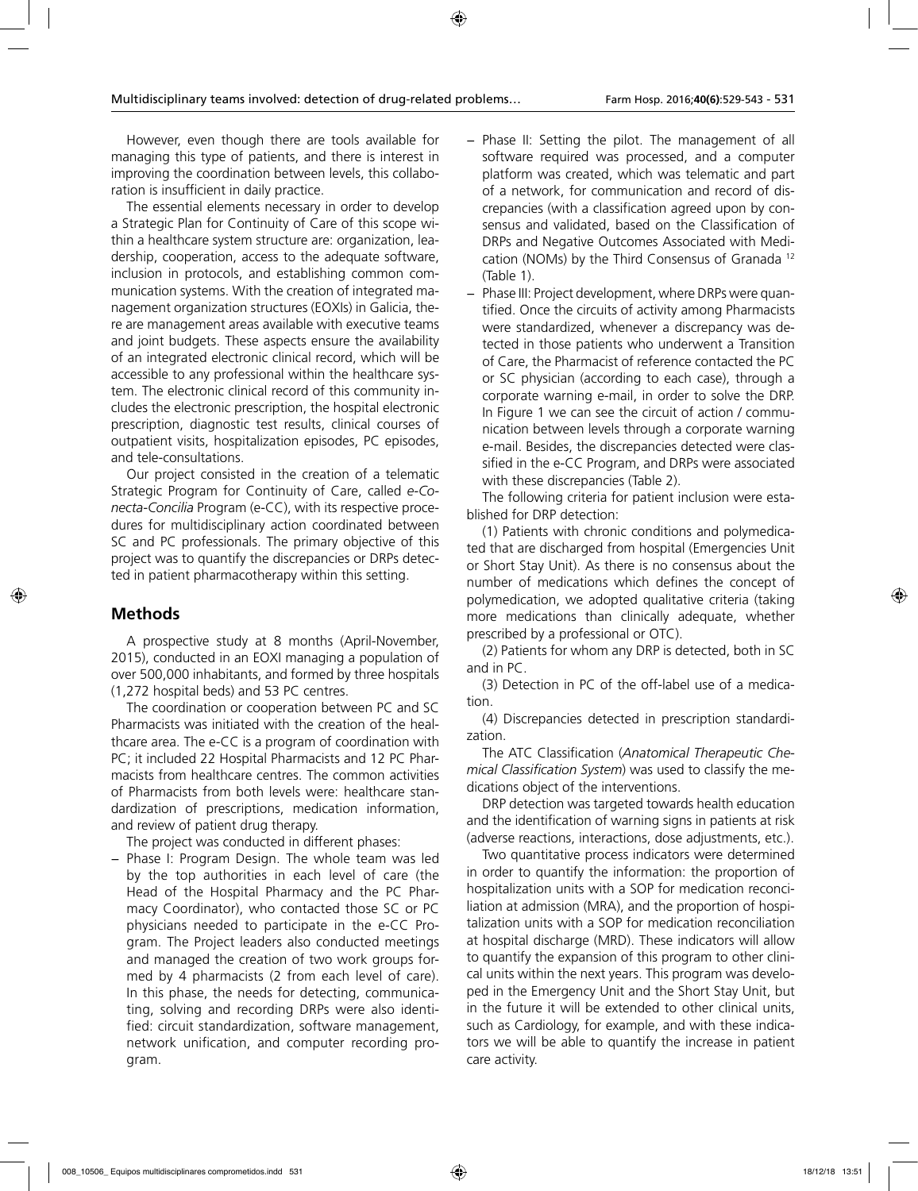However, even though there are tools available for managing this type of patients, and there is interest in improving the coordination between levels, this collaboration is insufficient in daily practice.

The essential elements necessary in order to develop a Strategic Plan for Continuity of Care of this scope within a healthcare system structure are: organization, leadership, cooperation, access to the adequate software, inclusion in protocols, and establishing common communication systems. With the creation of integrated management organization structures (EOXIs) in Galicia, there are management areas available with executive teams and joint budgets. These aspects ensure the availability of an integrated electronic clinical record, which will be accessible to any professional within the healthcare system. The electronic clinical record of this community includes the electronic prescription, the hospital electronic prescription, diagnostic test results, clinical courses of outpatient visits, hospitalization episodes, PC episodes, and tele-consultations.

Our project consisted in the creation of a telematic Strategic Program for Continuity of Care, called *e-Conecta-Concilia* Program (e-CC), with its respective procedures for multidisciplinary action coordinated between SC and PC professionals. The primary objective of this project was to quantify the discrepancies or DRPs detected in patient pharmacotherapy within this setting.

## **Methods**

A prospective study at 8 months (April-November, 2015), conducted in an EOXI managing a population of over 500,000 inhabitants, and formed by three hospitals (1,272 hospital beds) and 53 PC centres.

The coordination or cooperation between PC and SC Pharmacists was initiated with the creation of the healthcare area. The e-CC is a program of coordination with PC; it included 22 Hospital Pharmacists and 12 PC Pharmacists from healthcare centres. The common activities of Pharmacists from both levels were: healthcare standardization of prescriptions, medication information, and review of patient drug therapy.

The project was conducted in different phases:

− Phase I: Program Design. The whole team was led by the top authorities in each level of care (the Head of the Hospital Pharmacy and the PC Pharmacy Coordinator), who contacted those SC or PC physicians needed to participate in the e-CC Program. The Project leaders also conducted meetings and managed the creation of two work groups formed by 4 pharmacists (2 from each level of care). In this phase, the needs for detecting, communicating, solving and recording DRPs were also identified: circuit standardization, software management, network unification, and computer recording program.

- − Phase II: Setting the pilot. The management of all software required was processed, and a computer platform was created, which was telematic and part of a network, for communication and record of discrepancies (with a classification agreed upon by consensus and validated, based on the Classification of DRPs and Negative Outcomes Associated with Medication (NOMs) by the Third Consensus of Granada 12 (Table 1).
- − Phase III: Project development, where DRPs were quantified. Once the circuits of activity among Pharmacists were standardized, whenever a discrepancy was detected in those patients who underwent a Transition of Care, the Pharmacist of reference contacted the PC or SC physician (according to each case), through a corporate warning e-mail, in order to solve the DRP. In Figure 1 we can see the circuit of action / communication between levels through a corporate warning e-mail. Besides, the discrepancies detected were classified in the e-CC Program, and DRPs were associated with these discrepancies (Table 2).

The following criteria for patient inclusion were established for DRP detection:

(1) Patients with chronic conditions and polymedicated that are discharged from hospital (Emergencies Unit or Short Stay Unit). As there is no consensus about the number of medications which defines the concept of polymedication, we adopted qualitative criteria (taking more medications than clinically adequate, whether prescribed by a professional or OTC).

(2) Patients for whom any DRP is detected, both in SC and in PC.

(3) Detection in PC of the off-label use of a medication.

(4) Discrepancies detected in prescription standardization.

The ATC Classification (*Anatomical Therapeutic Chemical Classification System*) was used to classify the medications object of the interventions.

DRP detection was targeted towards health education and the identification of warning signs in patients at risk (adverse reactions, interactions, dose adjustments, etc.).

Two quantitative process indicators were determined in order to quantify the information: the proportion of hospitalization units with a SOP for medication reconciliation at admission (MRA), and the proportion of hospitalization units with a SOP for medication reconciliation at hospital discharge (MRD). These indicators will allow to quantify the expansion of this program to other clinical units within the next years. This program was developed in the Emergency Unit and the Short Stay Unit, but in the future it will be extended to other clinical units, such as Cardiology, for example, and with these indicators we will be able to quantify the increase in patient care activity.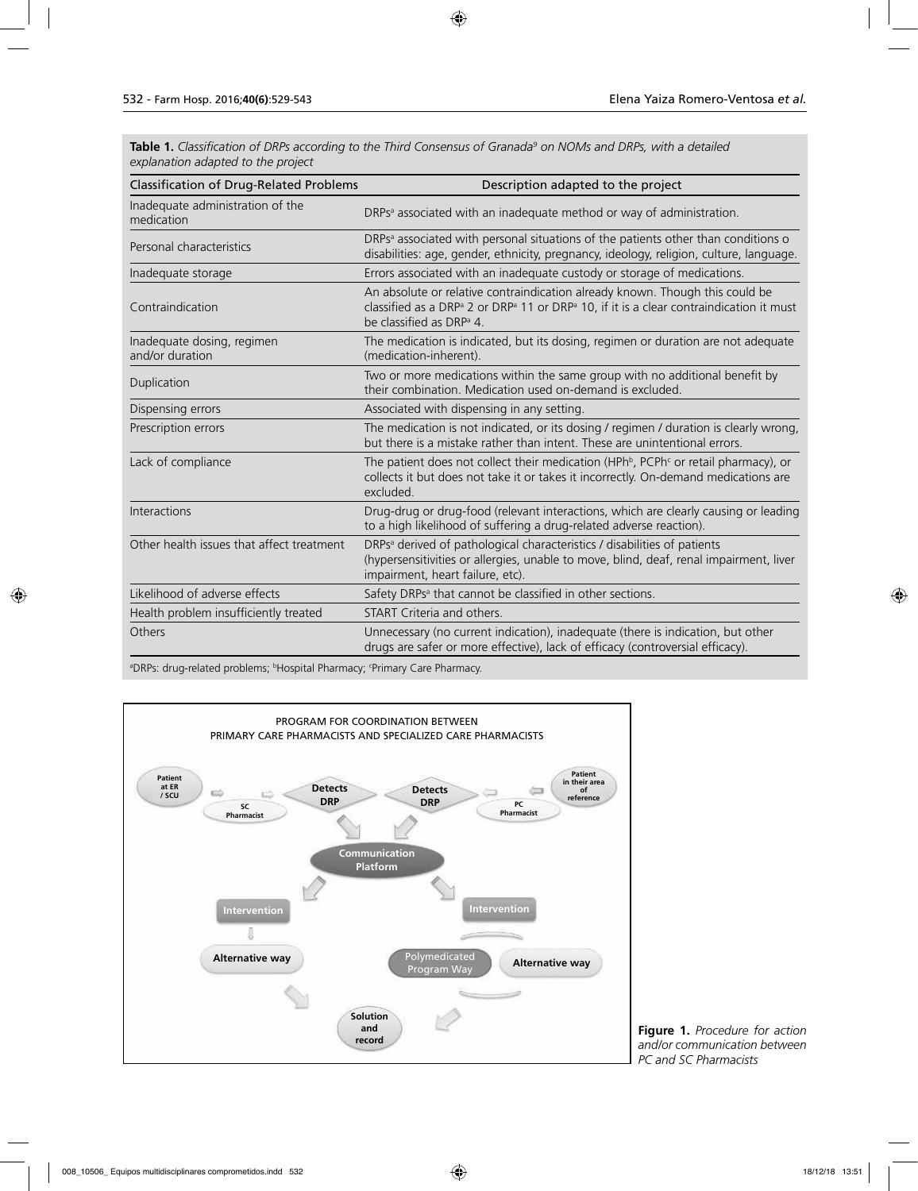**Table 1.** *Classification of DRPs according to the Third Consensus of Granada9 on NOMs and DRPs, with a detailed explanation adapted to the project* 

| <b>Classification of Drug-Related Problems</b> | Description adapted to the project                                                                                                                                                                                                                  |  |
|------------------------------------------------|-----------------------------------------------------------------------------------------------------------------------------------------------------------------------------------------------------------------------------------------------------|--|
| Inadequate administration of the<br>medication | DRPs <sup>a</sup> associated with an inadequate method or way of administration.                                                                                                                                                                    |  |
| Personal characteristics                       | DRPs <sup>a</sup> associated with personal situations of the patients other than conditions o<br>disabilities: age, gender, ethnicity, pregnancy, ideology, religion, culture, language.                                                            |  |
| Inadequate storage                             | Errors associated with an inadequate custody or storage of medications.                                                                                                                                                                             |  |
| Contraindication                               | An absolute or relative contraindication already known. Though this could be<br>classified as a DRP <sup>a</sup> 2 or DRP <sup>a</sup> 11 or DRP <sup>a</sup> 10, if it is a clear contraindication it must<br>be classified as DRP <sup>a</sup> 4. |  |
| Inadequate dosing, regimen<br>and/or duration  | The medication is indicated, but its dosing, regimen or duration are not adequate<br>(medication-inherent).                                                                                                                                         |  |
| Duplication                                    | Two or more medications within the same group with no additional benefit by<br>their combination. Medication used on-demand is excluded.                                                                                                            |  |
| Dispensing errors                              | Associated with dispensing in any setting.                                                                                                                                                                                                          |  |
| Prescription errors                            | The medication is not indicated, or its dosing / regimen / duration is clearly wrong,<br>but there is a mistake rather than intent. These are unintentional errors.                                                                                 |  |
| Lack of compliance                             | The patient does not collect their medication (HPh <sup>b</sup> , PCPh <sup>c</sup> or retail pharmacy), or<br>collects it but does not take it or takes it incorrectly. On-demand medications are<br>excluded.                                     |  |
| Interactions                                   | Drug-drug or drug-food (relevant interactions, which are clearly causing or leading<br>to a high likelihood of suffering a drug-related adverse reaction).                                                                                          |  |
| Other health issues that affect treatment      | DRPs <sup>a</sup> derived of pathological characteristics / disabilities of patients<br>(hypersensitivities or allergies, unable to move, blind, deaf, renal impairment, liver<br>impairment, heart failure, etc).                                  |  |
| Likelihood of adverse effects                  | Safety DRPs <sup>a</sup> that cannot be classified in other sections.                                                                                                                                                                               |  |
| Health problem insufficiently treated          | START Criteria and others.                                                                                                                                                                                                                          |  |
| Others                                         | Unnecessary (no current indication), inadequate (there is indication, but other<br>drugs are safer or more effective), lack of efficacy (controversial efficacy).                                                                                   |  |

<sup>a</sup>DRPs: drug-related problems; <sup>b</sup>Hospital Pharmacy; <sup>c</sup>Primary Care Pharmacy.



**Figure 1.** *Procedure for action and/or communication between PC and SC Pharmacists*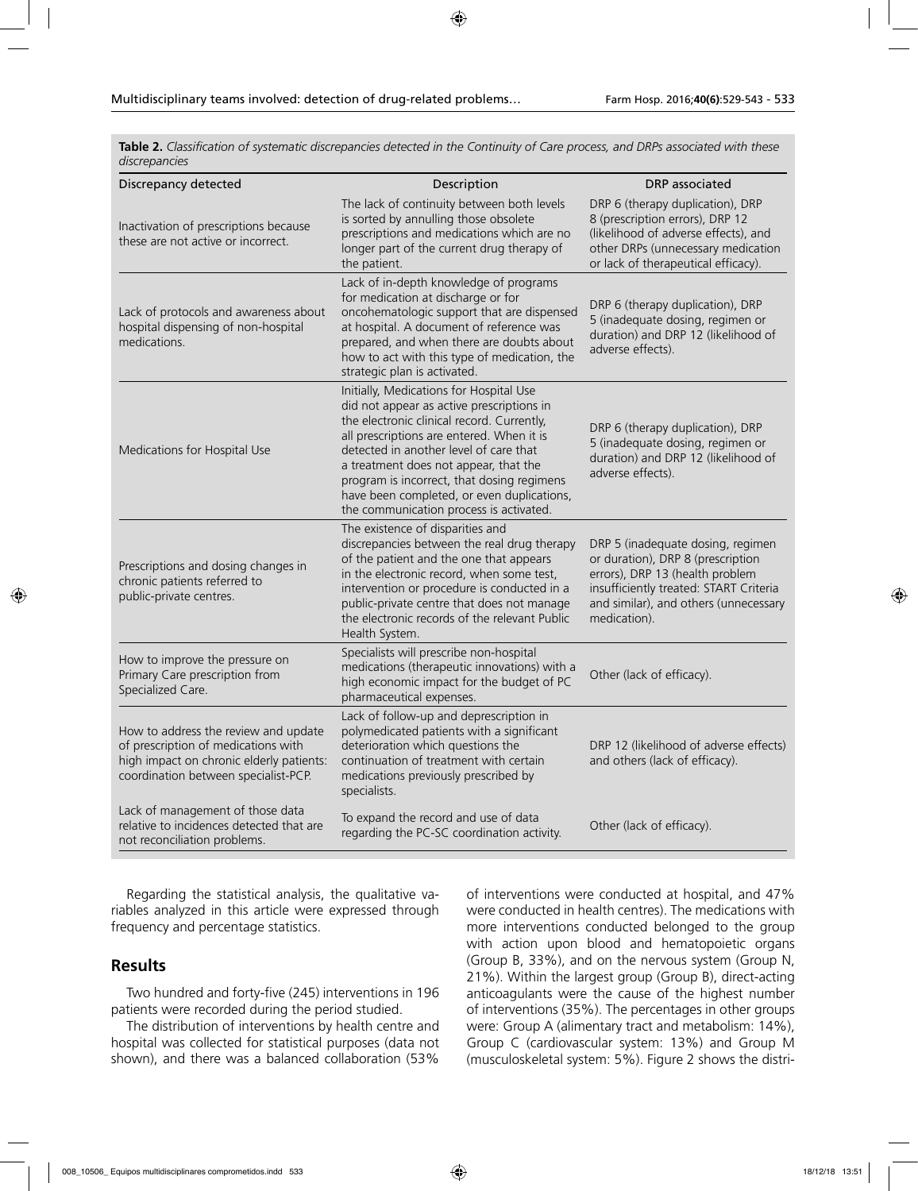**Table 2.** *Classification of systematic discrepancies detected in the Continuity of Care process, and DRPs associated with these discrepancies*

| Discrepancy detected                                                                                                                                            | Description                                                                                                                                                                                                                                                                                                                                                                                               | DRP associated                                                                                                                                                                                               |
|-----------------------------------------------------------------------------------------------------------------------------------------------------------------|-----------------------------------------------------------------------------------------------------------------------------------------------------------------------------------------------------------------------------------------------------------------------------------------------------------------------------------------------------------------------------------------------------------|--------------------------------------------------------------------------------------------------------------------------------------------------------------------------------------------------------------|
| Inactivation of prescriptions because<br>these are not active or incorrect.                                                                                     | The lack of continuity between both levels<br>is sorted by annulling those obsolete<br>prescriptions and medications which are no<br>longer part of the current drug therapy of<br>the patient.                                                                                                                                                                                                           | DRP 6 (therapy duplication), DRP<br>8 (prescription errors), DRP 12<br>(likelihood of adverse effects), and<br>other DRPs (unnecessary medication<br>or lack of therapeutical efficacy).                     |
| Lack of protocols and awareness about<br>hospital dispensing of non-hospital<br>medications.                                                                    | Lack of in-depth knowledge of programs<br>for medication at discharge or for<br>oncohematologic support that are dispensed<br>at hospital. A document of reference was<br>prepared, and when there are doubts about<br>how to act with this type of medication, the<br>strategic plan is activated.                                                                                                       | DRP 6 (therapy duplication), DRP<br>5 (inadequate dosing, regimen or<br>duration) and DRP 12 (likelihood of<br>adverse effects).                                                                             |
| Medications for Hospital Use                                                                                                                                    | Initially, Medications for Hospital Use<br>did not appear as active prescriptions in<br>the electronic clinical record. Currently,<br>all prescriptions are entered. When it is<br>detected in another level of care that<br>a treatment does not appear, that the<br>program is incorrect, that dosing regimens<br>have been completed, or even duplications,<br>the communication process is activated. | DRP 6 (therapy duplication), DRP<br>5 (inadequate dosing, regimen or<br>duration) and DRP 12 (likelihood of<br>adverse effects).                                                                             |
| Prescriptions and dosing changes in<br>chronic patients referred to<br>public-private centres.                                                                  | The existence of disparities and<br>discrepancies between the real drug therapy<br>of the patient and the one that appears<br>in the electronic record, when some test,<br>intervention or procedure is conducted in a<br>public-private centre that does not manage<br>the electronic records of the relevant Public<br>Health System.                                                                   | DRP 5 (inadequate dosing, regimen<br>or duration), DRP 8 (prescription<br>errors), DRP 13 (health problem<br>insufficiently treated: START Criteria<br>and similar), and others (unnecessary<br>medication). |
| How to improve the pressure on<br>Primary Care prescription from<br>Specialized Care.                                                                           | Specialists will prescribe non-hospital<br>medications (therapeutic innovations) with a<br>high economic impact for the budget of PC<br>pharmaceutical expenses.                                                                                                                                                                                                                                          | Other (lack of efficacy).                                                                                                                                                                                    |
| How to address the review and update<br>of prescription of medications with<br>high impact on chronic elderly patients:<br>coordination between specialist-PCP. | Lack of follow-up and deprescription in<br>polymedicated patients with a significant<br>deterioration which questions the<br>continuation of treatment with certain<br>medications previously prescribed by<br>specialists.                                                                                                                                                                               | DRP 12 (likelihood of adverse effects)<br>and others (lack of efficacy).                                                                                                                                     |
| Lack of management of those data<br>relative to incidences detected that are<br>not reconciliation problems.                                                    | To expand the record and use of data<br>regarding the PC-SC coordination activity.                                                                                                                                                                                                                                                                                                                        | Other (lack of efficacy).                                                                                                                                                                                    |

Regarding the statistical analysis, the qualitative variables analyzed in this article were expressed through frequency and percentage statistics.

### **Results**

Two hundred and forty-five (245) interventions in 196 patients were recorded during the period studied.

The distribution of interventions by health centre and hospital was collected for statistical purposes (data not shown), and there was a balanced collaboration (53%

of interventions were conducted at hospital, and 47% were conducted in health centres). The medications with more interventions conducted belonged to the group with action upon blood and hematopoietic organs (Group B, 33%), and on the nervous system (Group N, 21%). Within the largest group (Group B), direct-acting anticoagulants were the cause of the highest number of interventions (35%). The percentages in other groups were: Group A (alimentary tract and metabolism: 14%), Group C (cardiovascular system: 13%) and Group M (musculoskeletal system: 5%). Figure 2 shows the distri-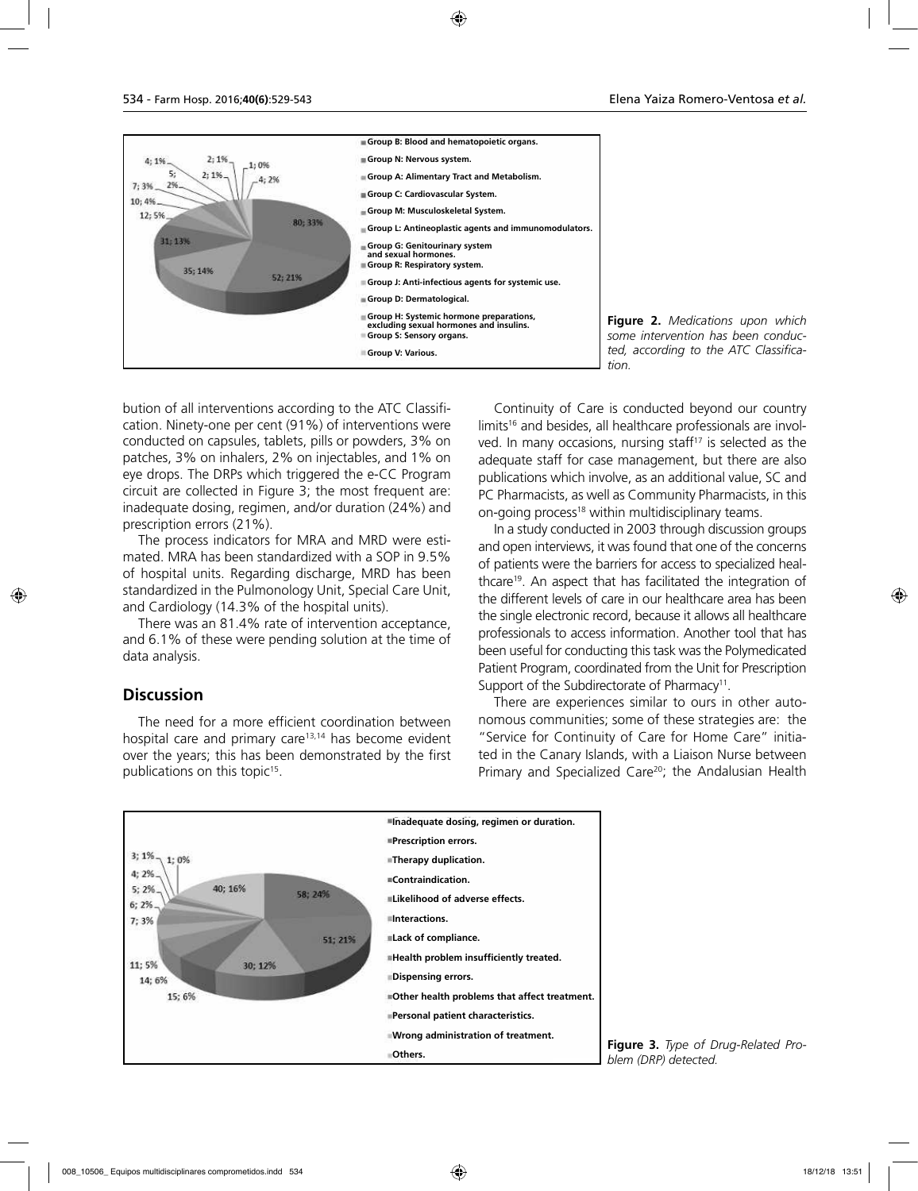

**Figure 2.** *Medications upon which some intervention has been conducted, according to the ATC Classifica-*

bution of all interventions according to the ATC Classification. Ninety-one per cent (91%) of interventions were conducted on capsules, tablets, pills or powders, 3% on patches, 3% on inhalers, 2% on injectables, and 1% on eye drops. The DRPs which triggered the e-CC Program circuit are collected in Figure 3; the most frequent are: inadequate dosing, regimen, and/or duration (24%) and prescription errors (21%).

The process indicators for MRA and MRD were estimated. MRA has been standardized with a SOP in 9.5% of hospital units. Regarding discharge, MRD has been standardized in the Pulmonology Unit, Special Care Unit, and Cardiology (14.3% of the hospital units).

There was an 81.4% rate of intervention acceptance, and 6.1% of these were pending solution at the time of data analysis.

### **Discussion**

The need for a more efficient coordination between hospital care and primary care<sup>13,14</sup> has become evident over the years; this has been demonstrated by the first publications on this topic15.

Continuity of Care is conducted beyond our country limits<sup>16</sup> and besides, all healthcare professionals are involved. In many occasions, nursing staff $17$  is selected as the adequate staff for case management, but there are also publications which involve, as an additional value, SC and PC Pharmacists, as well as Community Pharmacists, in this on-going process<sup>18</sup> within multidisciplinary teams.

In a study conducted in 2003 through discussion groups and open interviews, it was found that one of the concerns of patients were the barriers for access to specialized healthcare<sup>19</sup>. An aspect that has facilitated the integration of the different levels of care in our healthcare area has been the single electronic record, because it allows all healthcare professionals to access information. Another tool that has been useful for conducting this task was the Polymedicated Patient Program, coordinated from the Unit for Prescription Support of the Subdirectorate of Pharmacy<sup>11</sup>.

There are experiences similar to ours in other autonomous communities; some of these strategies are: the "Service for Continuity of Care for Home Care" initiated in the Canary Islands, with a Liaison Nurse between Primary and Specialized Care<sup>20</sup>; the Andalusian Health



**Figure 3.** *Type of Drug-Related Problem (DRP) detected.*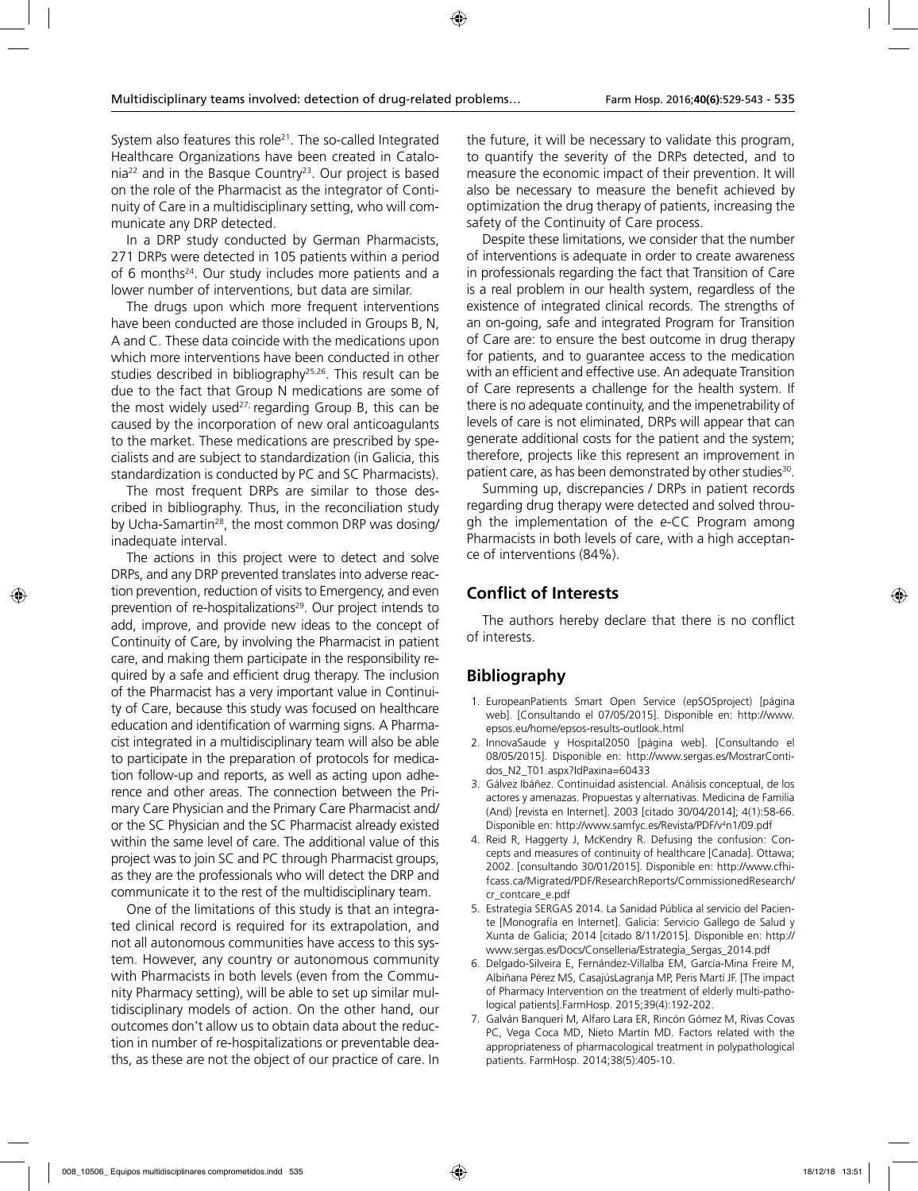System also features this role<sup>21</sup>. The so-called Integrated Healthcare Organizations have been created in Catalonia22 and in the Basque Country23. Our project is based on the role of the Pharmacist as the integrator of Continuity of Care in a multidisciplinary setting, who will communicate any DRP detected.

In a DRP study conducted by German Pharmacists, 271 DRPs were detected in 105 patients within a period of 6 months<sup>24</sup>. Our study includes more patients and a lower number of interventions, but data are similar.

The drugs upon which more frequent interventions have been conducted are those included in Groups B, N, A and C. These data coincide with the medications upon which more interventions have been conducted in other studies described in bibliography<sup>25,26</sup>. This result can be due to the fact that Group N medications are some of the most widely used<sup>27;</sup> regarding Group B, this can be caused by the incorporation of new oral anticoagulants to the market. These medications are prescribed by specialists and are subject to standardization (in Galicia, this standardization is conducted by PC and SC Pharmacists).

The most frequent DRPs are similar to those described in bibliography. Thus, in the reconciliation study by Ucha-Samartin<sup>28</sup>, the most common DRP was dosing/ inadequate interval.

The actions in this project were to detect and solve DRPs, and any DRP prevented translates into adverse reaction prevention, reduction of visits to Emergency, and even prevention of re-hospitalizations<sup>29</sup>. Our project intends to add, improve, and provide new ideas to the concept of Continuity of Care, by involving the Pharmacist in patient care, and making them participate in the responsibility required by a safe and efficient drug therapy. The inclusion of the Pharmacist has a very important value in Continuity of Care, because this study was focused on healthcare education and identification of warming signs. A Pharmacist integrated in a multidisciplinary team will also be able to participate in the preparation of protocols for medication follow-up and reports, as well as acting upon adherence and other areas. The connection between the Primary Care Physician and the Primary Care Pharmacist and/ or the SC Physician and the SC Pharmacist already existed within the same level of care. The additional value of this project was to join SC and PC through Pharmacist groups, as they are the professionals who will detect the DRP and communicate it to the rest of the multidisciplinary team.

One of the limitations of this study is that an integrated clinical record is required for its extrapolation, and not all autonomous communities have access to this system. However, any country or autonomous community with Pharmacists in both levels (even from the Community Pharmacy setting), will be able to set up similar multidisciplinary models of action. On the other hand, our outcomes don't allow us to obtain data about the reduction in number of re-hospitalizations or preventable deaths, as these are not the object of our practice of care. In

the future, it will be necessary to validate this program, to quantify the severity of the DRPs detected, and to measure the economic impact of their prevention. It will also be necessary to measure the benefit achieved by optimization the drug therapy of patients, increasing the safety of the Continuity of Care process.

Despite these limitations, we consider that the number of interventions is adequate in order to create awareness in professionals regarding the fact that Transition of Care is a real problem in our health system, regardless of the existence of integrated clinical records. The strengths of an on-going, safe and integrated Program for Transition of Care are: to ensure the best outcome in drug therapy for patients, and to guarantee access to the medication with an efficient and effective use. An adequate Transition of Care represents a challenge for the health system. If there is no adequate continuity, and the impenetrability of levels of care is not eliminated, DRPs will appear that can generate additional costs for the patient and the system; therefore, projects like this represent an improvement in patient care, as has been demonstrated by other studies<sup>30</sup>.

Summing up, discrepancies / DRPs in patient records regarding drug therapy were detected and solved through the implementation of the e-CC Program among Pharmacists in both levels of care, with a high acceptance of interventions (84%).

#### **Conflict of Interests**

The authors hereby declare that there is no conflict of interests.

### **Bibliography**

- 1. EuropeanPatients Smart Open Service (epSOSproject) [página web]. [Consultando el 07/05/2015]. Disponible en: http://www. epsos.eu/home/epsos-results-outlook.html
- 2. InnovaSaude y Hospital2050 [página web]. [Consultando el 08/05/2015]. Disponible en: http://www.sergas.es/MostrarContidos\_N2\_T01.aspx?IdPaxina=60433
- 3. Gálvez Ibáñez. Continuidad asistencial. Análisis conceptual, de los actores y amenazas. Propuestas y alternativas. Medicina de Familia (And) [revista en Internet]. 2003 [citado 30/04/2014]; 4(1):58-66. Disponible en: http://www.samfyc.es/Revista/PDF/v<sup>4</sup>n1/09.pdf
- 4. Reid R, Haggerty J, McKendry R. Defusing the confusion: Concepts and measures of continuity of healthcare [Canada]. Ottawa; 2002. [consultando 30/01/2015]. Disponible en: http://www.cfhifcass.ca/Migrated/PDF/ResearchReports/CommissionedResearch/ cr\_contcare\_e.pdf
- 5. Estrategia SERGAS 2014. La Sanidad Pública al servicio del Paciente [Monografía en Internet]. Galicia: Servicio Gallego de Salud y Xunta de Galicia; 2014 [citado 8/11/2015]. Disponible en: http:// www.sergas.es/Docs/Conselleria/Estrategia\_Sergas\_2014.pdf
- 6. Delgado-Silveira E, Fernández-Villalba EM, García-Mina Freire M, Albiñana Pérez MS, CasajúsLagranja MP, Peris Martí JF. [The impact of Pharmacy Intervention on the treatment of elderly multi-pathological patients].FarmHosp. 2015;39(4):192-202.
- 7. Galván Banqueri M, Alfaro Lara ER, Rincón Gómez M, Rivas Covas PC, Vega Coca MD, Nieto Martín MD. Factors related with the appropriateness of pharmacological treatment in polypathological patients. FarmHosp. 2014;38(5):405-10.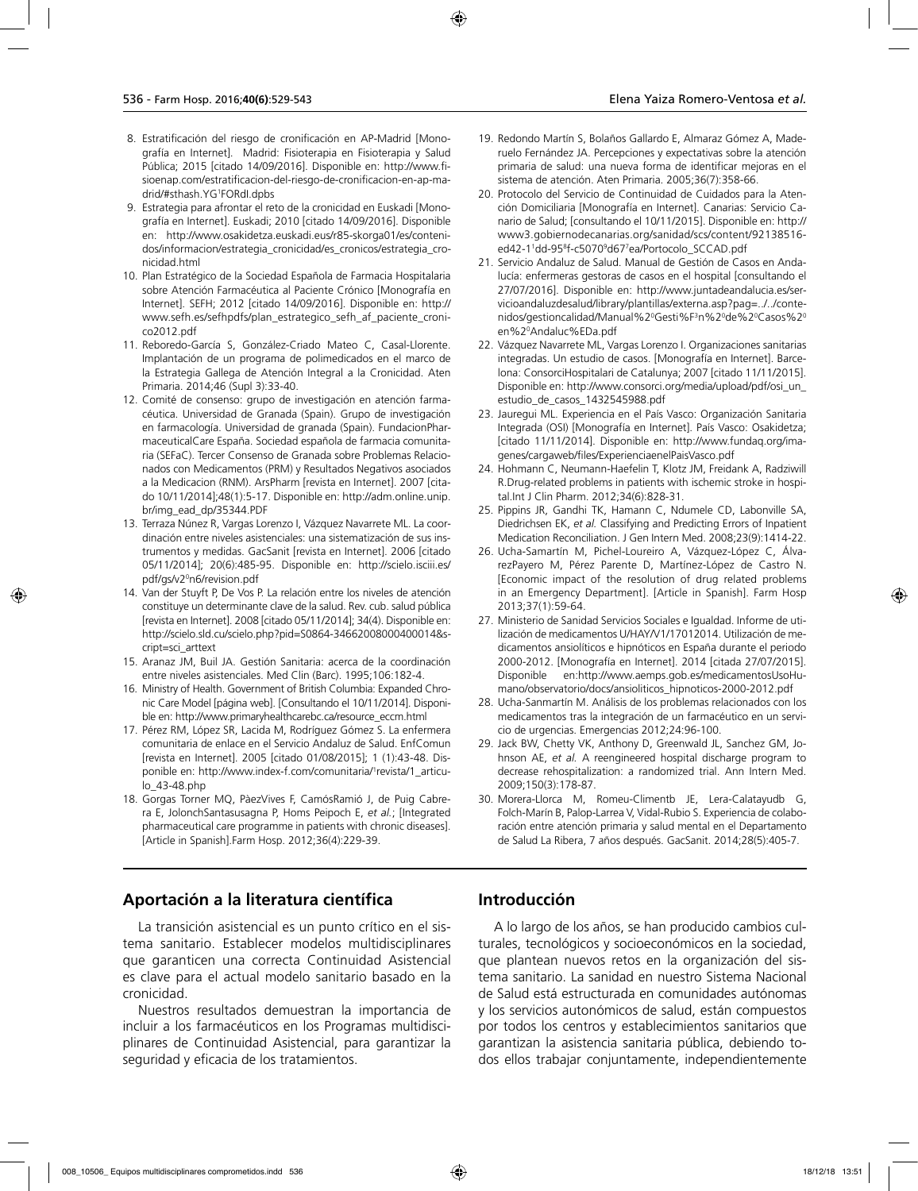- 8. Estratificación del riesgo de cronificación en AP-Madrid [Monografía en Internet]. Madrid: Fisioterapia en Fisioterapia y Salud Pública; 2015 [citado 14/09/2016]. Disponible en: http://www.fisioenap.com/estratificacion-del-riesgo-de-cronificacion-en-ap-madrid/#sthash.YG1 FORdI.dpbs
- 9. Estrategia para afrontar el reto de la cronicidad en Euskadi [Monografía en Internet]. Euskadi; 2010 [citado 14/09/2016]. Disponible en: http://www.osakidetza.euskadi.eus/r85-skorga01/es/contenidos/informacion/estrategia\_cronicidad/es\_cronicos/estrategia\_cronicidad.html
- 10. Plan Estratégico de la Sociedad Española de Farmacia Hospitalaria sobre Atención Farmacéutica al Paciente Crónico [Monografía en Internet]. SEFH; 2012 [citado 14/09/2016]. Disponible en: http:// www.sefh.es/sefhpdfs/plan\_estrategico\_sefh\_af\_paciente\_cronico2012.pdf
- 11. Reboredo-García S, González-Criado Mateo C, Casal-Llorente. Implantación de un programa de polimedicados en el marco de la Estrategia Gallega de Atención Integral a la Cronicidad. Aten Primaria. 2014;46 (Supl 3):33-40.
- 12. Comité de consenso: grupo de investigación en atención farmacéutica. Universidad de Granada (Spain). Grupo de investigación en farmacología. Universidad de granada (Spain). FundacionPharmaceuticalCare España. Sociedad española de farmacia comunitaria (SEFaC). Tercer Consenso de Granada sobre Problemas Relacionados con Medicamentos (PRM) y Resultados Negativos asociados a la Medicacion (RNM). ArsPharm [revista en Internet]. 2007 [citado 10/11/2014];48(1):5-17. Disponible en: http://adm.online.unip. br/img\_ead\_dp/35344.PDF
- 13. Terraza Núnez R, Vargas Lorenzo I, Vázquez Navarrete ML. La coordinación entre niveles asistenciales: una sistematización de sus instrumentos y medidas. GacSanit [revista en Internet]. 2006 [citado 05/11/2014]; 20(6):485-95. Disponible en: http://scielo.isciii.es/ pdf/gs/v20 n6/revision.pdf
- 14. Van der Stuyft P, De Vos P. La relación entre los niveles de atención constituye un determinante clave de la salud. Rev. cub. salud pública [revista en Internet]. 2008 [citado 05/11/2014]; 34(4). Disponible en: http://scielo.sld.cu/scielo.php?pid=S0864-34662008000400014&script=sci\_arttext
- 15. Aranaz JM, Buil JA. Gestión Sanitaria: acerca de la coordinación entre niveles asistenciales. Med Clin (Barc). 1995;106:182-4.
- 16. Ministry of Health. Government of British Columbia: Expanded Chronic Care Model [página web]. [Consultando el 10/11/2014]. Disponible en: http://www.primaryhealthcarebc.ca/resource\_eccm.html
- 17. Pérez RM, López SR, Lacida M, Rodríguez Gómez S. La enfermera comunitaria de enlace en el Servicio Andaluz de Salud. EnfComun [revista en Internet]. 2005 [citado 01/08/2015]; 1 (1):43-48. Disponible en: http://www.index-f.com/comunitaria/1 revista/1\_articulo\_43-48.php
- 18. Gorgas Torner MQ, PàezVives F, CamósRamió J, de Puig Cabrera E, JolonchSantasusagna P, Homs Peipoch E, *et al.*; [Integrated pharmaceutical care programme in patients with chronic diseases]. [Article in Spanish].Farm Hosp. 2012;36(4):229-39.
- 19. Redondo Martín S, Bolaños Gallardo E, Almaraz Gómez A, Maderuelo Fernández JA. Percepciones y expectativas sobre la atención primaria de salud: una nueva forma de identificar mejoras en el sistema de atención. Aten Primaria. 2005;36(7):358-66.
- 20. Protocolo del Servicio de Continuidad de Cuidados para la Atención Domiciliaria [Monografía en Internet]. Canarias: Servicio Canario de Salud; [consultando el 10/11/2015]. Disponible en: http:// www3.gobiernodecanarias.org/sanidad/scs/content/92138516 ed42-11 dd-958 f-c50709 d677 ea/Portocolo\_SCCAD.pdf
- 21. Servicio Andaluz de Salud. Manual de Gestión de Casos en Andalucía: enfermeras gestoras de casos en el hospital [consultando el 27/07/2016]. Disponible en: http://www.juntadeandalucia.es/servicioandaluzdesalud/library/plantillas/externa.asp?pag=../../contenidos/gestioncalidad/Manual%2ºGesti%F<sup>3</sup>n%2ºde%2ºCasos%2º en%20 Andaluc%EDa.pdf
- 22. Vázquez Navarrete ML, Vargas Lorenzo I. Organizaciones sanitarias integradas. Un estudio de casos. [Monografía en Internet]. Barcelona: ConsorciHospitalari de Catalunya; 2007 [citado 11/11/2015]. Disponible en: http://www.consorci.org/media/upload/pdf/osi\_un\_ estudio\_de\_casos\_1432545988.pdf
- 23. Jauregui ML. Experiencia en el País Vasco: Organización Sanitaria Integrada (OSI) [Monografía en Internet]. País Vasco: Osakidetza; [citado 11/11/2014]. Disponible en: http://www.fundaq.org/imagenes/cargaweb/files/ExperienciaenelPaisVasco.pdf
- 24. Hohmann C, Neumann-Haefelin T, Klotz JM, Freidank A, Radziwill R.Drug-related problems in patients with ischemic stroke in hospital.Int J Clin Pharm. 2012;34(6):828-31.
- 25. Pippins JR, Gandhi TK, Hamann C, Ndumele CD, Labonville SA, Diedrichsen EK, *et al.* Classifying and Predicting Errors of Inpatient Medication Reconciliation. J Gen Intern Med. 2008;23(9):1414-22.
- 26. Ucha-Samartín M, Pichel-Loureiro A, Vázquez-López C, ÁlvarezPayero M, Pérez Parente D, Martínez-López de Castro N. [Economic impact of the resolution of drug related problems in an Emergency Department]. [Article in Spanish]. Farm Hosp 2013;37(1):59-64.
- 27. Ministerio de Sanidad Servicios Sociales e Igualdad. Informe de utilización de medicamentos U/HAY/V1/17012014. Utilización de medicamentos ansiolíticos e hipnóticos en España durante el periodo 2000-2012. [Monografía en Internet]. 2014 [citada 27/07/2015]. Disponible en:http://www.aemps.gob.es/medicamentosUsoHumano/observatorio/docs/ansioliticos\_hipnoticos-2000-2012.pdf
- 28. Ucha-Sanmartín M. Análisis de los problemas relacionados con los medicamentos tras la integración de un farmacéutico en un servicio de urgencias. Emergencias 2012;24:96-100.
- 29. Jack BW, Chetty VK, Anthony D, Greenwald JL, Sanchez GM, Johnson AE, *et al.* A reengineered hospital discharge program to decrease rehospitalization: a randomized trial. Ann Intern Med. 2009;150(3):178-87.
- 30. Morera-Llorca M, Romeu-Climentb JE, Lera-Calatayudb G, Folch-Marín B, Palop-Larrea V, Vidal-Rubio S. Experiencia de colaboración entre atención primaria y salud mental en el Departamento de Salud La Ribera, 7 años después. GacSanit. 2014;28(5):405-7.

## **Aportación a la literatura científica**

La transición asistencial es un punto crítico en el sistema sanitario. Establecer modelos multidisciplinares que garanticen una correcta Continuidad Asistencial es clave para el actual modelo sanitario basado en la cronicidad.

Nuestros resultados demuestran la importancia de incluir a los farmacéuticos en los Programas multidisciplinares de Continuidad Asistencial, para garantizar la seguridad y eficacia de los tratamientos.

### **Introducción**

A lo largo de los años, se han producido cambios culturales, tecnológicos y socioeconómicos en la sociedad, que plantean nuevos retos en la organización del sistema sanitario. La sanidad en nuestro Sistema Nacional de Salud está estructurada en comunidades autónomas y los servicios autonómicos de salud, están compuestos por todos los centros y establecimientos sanitarios que garantizan la asistencia sanitaria pública, debiendo todos ellos trabajar conjuntamente, independientemente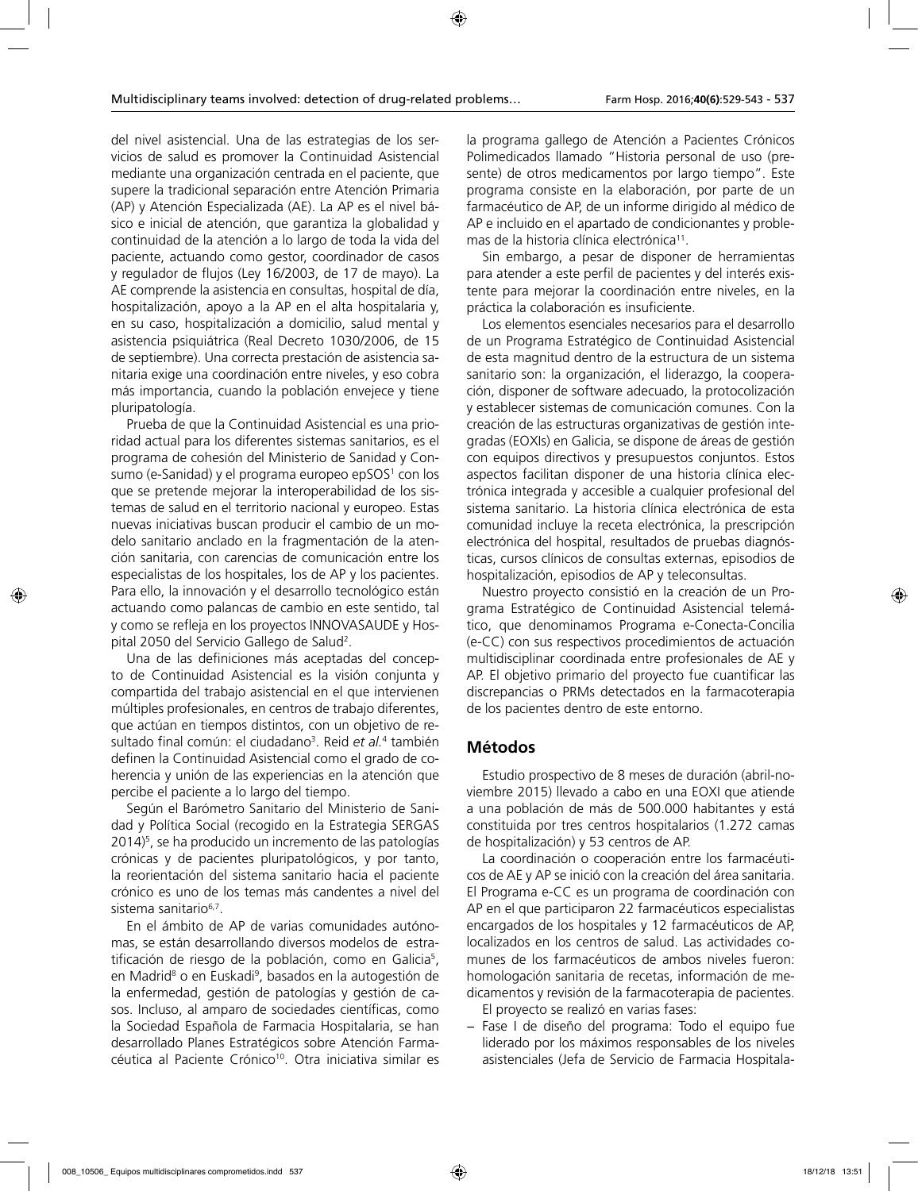del nivel asistencial. Una de las estrategias de los servicios de salud es promover la Continuidad Asistencial mediante una organización centrada en el paciente, que supere la tradicional separación entre Atención Primaria (AP) y Atención Especializada (AE). La AP es el nivel básico e inicial de atención, que garantiza la globalidad y continuidad de la atención a lo largo de toda la vida del paciente, actuando como gestor, coordinador de casos y regulador de flujos (Ley 16/2003, de 17 de mayo). La AE comprende la asistencia en consultas, hospital de día, hospitalización, apoyo a la AP en el alta hospitalaria y, en su caso, hospitalización a domicilio, salud mental y asistencia psiquiátrica (Real Decreto 1030/2006, de 15 de septiembre). Una correcta prestación de asistencia sanitaria exige una coordinación entre niveles, y eso cobra más importancia, cuando la población envejece y tiene pluripatología.

Prueba de que la Continuidad Asistencial es una prioridad actual para los diferentes sistemas sanitarios, es el programa de cohesión del Ministerio de Sanidad y Consumo (e-Sanidad) y el programa europeo epSOS<sup>1</sup> con los que se pretende mejorar la interoperabilidad de los sistemas de salud en el territorio nacional y europeo. Estas nuevas iniciativas buscan producir el cambio de un modelo sanitario anclado en la fragmentación de la atención sanitaria, con carencias de comunicación entre los especialistas de los hospitales, los de AP y los pacientes. Para ello, la innovación y el desarrollo tecnológico están actuando como palancas de cambio en este sentido, tal y como se refleja en los proyectos INNOVASAUDE y Hospital 2050 del Servicio Gallego de Salud2 .

Una de las definiciones más aceptadas del concepto de Continuidad Asistencial es la visión conjunta y compartida del trabajo asistencial en el que intervienen múltiples profesionales, en centros de trabajo diferentes, que actúan en tiempos distintos, con un objetivo de resultado final común: el ciudadano<sup>3</sup>. Reid e*t al.*<sup>4</sup> también definen la Continuidad Asistencial como el grado de coherencia y unión de las experiencias en la atención que percibe el paciente a lo largo del tiempo.

Según el Barómetro Sanitario del Ministerio de Sanidad y Política Social (recogido en la Estrategia SERGAS 2014)<sup>5</sup>, se ha producido un incremento de las patologías crónicas y de pacientes pluripatológicos, y por tanto, la reorientación del sistema sanitario hacia el paciente crónico es uno de los temas más candentes a nivel del sistema sanitario<sup>6,7</sup>.

En el ámbito de AP de varias comunidades autónomas, se están desarrollando diversos modelos de estratificación de riesgo de la población, como en Galicia<sup>5</sup>, en Madrid<sup>8</sup> o en Euskadi<sup>9</sup>, basados en la autogestión de la enfermedad, gestión de patologías y gestión de casos. Incluso, al amparo de sociedades científicas, como la Sociedad Española de Farmacia Hospitalaria, se han desarrollado Planes Estratégicos sobre Atención Farmacéutica al Paciente Crónico<sup>10</sup>. Otra iniciativa similar es

la programa gallego de Atención a Pacientes Crónicos Polimedicados llamado "Historia personal de uso (presente) de otros medicamentos por largo tiempo". Este programa consiste en la elaboración, por parte de un farmacéutico de AP, de un informe dirigido al médico de AP e incluido en el apartado de condicionantes y problemas de la historia clínica electrónica<sup>11</sup>.

Sin embargo, a pesar de disponer de herramientas para atender a este perfil de pacientes y del interés existente para mejorar la coordinación entre niveles, en la práctica la colaboración es insuficiente.

Los elementos esenciales necesarios para el desarrollo de un Programa Estratégico de Continuidad Asistencial de esta magnitud dentro de la estructura de un sistema sanitario son: la organización, el liderazgo, la cooperación, disponer de software adecuado, la protocolización y establecer sistemas de comunicación comunes. Con la creación de las estructuras organizativas de gestión integradas (EOXIs) en Galicia, se dispone de áreas de gestión con equipos directivos y presupuestos conjuntos. Estos aspectos facilitan disponer de una historia clínica electrónica integrada y accesible a cualquier profesional del sistema sanitario. La historia clínica electrónica de esta comunidad incluye la receta electrónica, la prescripción electrónica del hospital, resultados de pruebas diagnósticas, cursos clínicos de consultas externas, episodios de hospitalización, episodios de AP y teleconsultas.

Nuestro proyecto consistió en la creación de un Programa Estratégico de Continuidad Asistencial telemático, que denominamos Programa e-Conecta-Concilia (e-CC) con sus respectivos procedimientos de actuación multidisciplinar coordinada entre profesionales de AE y AP. El objetivo primario del proyecto fue cuantificar las discrepancias o PRMs detectados en la farmacoterapia de los pacientes dentro de este entorno.

### **Métodos**

Estudio prospectivo de 8 meses de duración (abril-noviembre 2015) llevado a cabo en una EOXI que atiende a una población de más de 500.000 habitantes y está constituida por tres centros hospitalarios (1.272 camas de hospitalización) y 53 centros de AP.

La coordinación o cooperación entre los farmacéuticos de AE y AP se inició con la creación del área sanitaria. El Programa e-CC es un programa de coordinación con AP en el que participaron 22 farmacéuticos especialistas encargados de los hospitales y 12 farmacéuticos de AP, localizados en los centros de salud. Las actividades comunes de los farmacéuticos de ambos niveles fueron: homologación sanitaria de recetas, información de medicamentos y revisión de la farmacoterapia de pacientes. El proyecto se realizó en varias fases:

− Fase I de diseño del programa: Todo el equipo fue liderado por los máximos responsables de los niveles asistenciales (Jefa de Servicio de Farmacia Hospitala-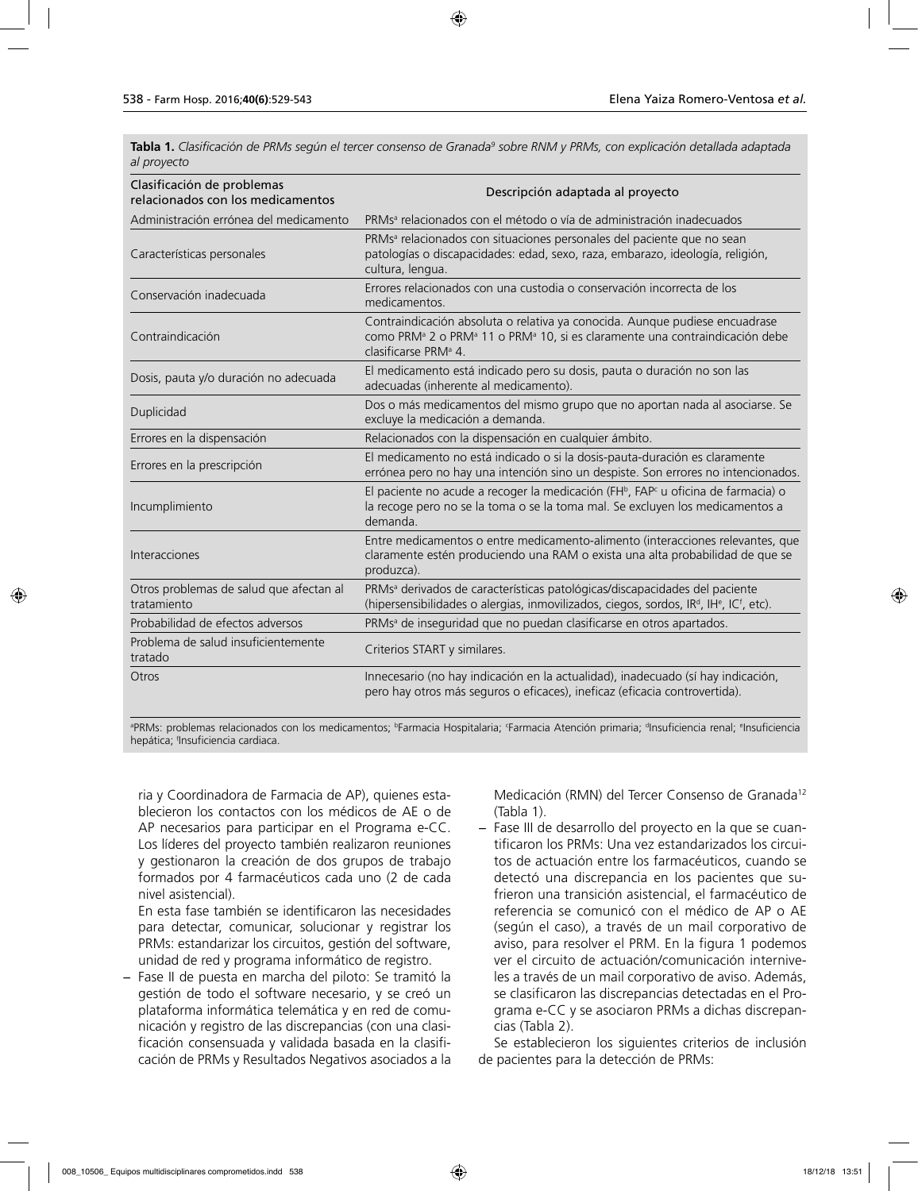**Tabla 1.** Clasificación de PRMs según el tercer consenso de Granada<sup>9</sup> sobre RNM y PRMs, con explicación detallada adaptada *al proyecto*

| Clasificación de problemas<br>relacionados con los medicamentos | Descripción adaptada al proyecto                                                                                                                                                                                                   |  |
|-----------------------------------------------------------------|------------------------------------------------------------------------------------------------------------------------------------------------------------------------------------------------------------------------------------|--|
| Administración errónea del medicamento                          | PRMs <sup>a</sup> relacionados con el método o vía de administración inadecuados                                                                                                                                                   |  |
| Características personales                                      | PRMs <sup>a</sup> relacionados con situaciones personales del paciente que no sean<br>patologías o discapacidades: edad, sexo, raza, embarazo, ideología, religión,<br>cultura, lengua.                                            |  |
| Conservación inadecuada                                         | Errores relacionados con una custodia o conservación incorrecta de los<br>medicamentos.                                                                                                                                            |  |
| Contraindicación                                                | Contraindicación absoluta o relativa ya conocida. Aunque pudiese encuadrase<br>como PRM <sup>ª</sup> 2 o PRM <sup>ª</sup> 11 o PRM <sup>ª</sup> 10, si es claramente una contraindicación debe<br>clasificarse PRM <sup>a</sup> 4. |  |
| Dosis, pauta y/o duración no adecuada                           | El medicamento está indicado pero su dosis, pauta o duración no son las<br>adecuadas (inherente al medicamento).                                                                                                                   |  |
| Duplicidad                                                      | Dos o más medicamentos del mismo grupo que no aportan nada al asociarse. Se<br>excluye la medicación a demanda.                                                                                                                    |  |
| Errores en la dispensación                                      | Relacionados con la dispensación en cualquier ámbito.                                                                                                                                                                              |  |
| Errores en la prescripción                                      | El medicamento no está indicado o si la dosis-pauta-duración es claramente<br>errónea pero no hay una intención sino un despiste. Son errores no intencionados.                                                                    |  |
| Incumplimiento                                                  | El paciente no acude a recoger la medicación (FH <sup>b</sup> , FAP <sup>c</sup> u oficina de farmacia) o<br>la recoge pero no se la toma o se la toma mal. Se excluyen los medicamentos a<br>demanda.                             |  |
| Interacciones                                                   | Entre medicamentos o entre medicamento-alimento (interacciones relevantes, que<br>claramente estén produciendo una RAM o exista una alta probabilidad de que se<br>produzca).                                                      |  |
| Otros problemas de salud que afectan al<br>tratamiento          | PRMs <sup>a</sup> derivados de características patológicas/discapacidades del paciente<br>(hipersensibilidades o alergias, inmovilizados, ciegos, sordos, IR <sup>d</sup> , IH <sup>e</sup> , IC <sup>f</sup> , etc).              |  |
| Probabilidad de efectos adversos                                | PRMs <sup>a</sup> de inseguridad que no puedan clasificarse en otros apartados.                                                                                                                                                    |  |
| Problema de salud insuficientemente<br>tratado                  | Criterios START y similares.                                                                                                                                                                                                       |  |
| Otros                                                           | Innecesario (no hay indicación en la actualidad), inadecuado (sí hay indicación,<br>pero hay otros más seguros o eficaces), ineficaz (eficacia controvertida).                                                                     |  |

ªPRMs: problemas relacionados con los medicamentos; <sup>ь</sup>Farmacia Hospitalaria; Farmacia Atención primaria; ªInsuficiencia renal; ªInsuficiencia hepática; f Insuficiencia cardiaca.

ria y Coordinadora de Farmacia de AP), quienes establecieron los contactos con los médicos de AE o de AP necesarios para participar en el Programa e-CC. Los líderes del proyecto también realizaron reuniones y gestionaron la creación de dos grupos de trabajo formados por 4 farmacéuticos cada uno (2 de cada nivel asistencial).

En esta fase también se identificaron las necesidades para detectar, comunicar, solucionar y registrar los PRMs: estandarizar los circuitos, gestión del software, unidad de red y programa informático de registro.

− Fase II de puesta en marcha del piloto: Se tramitó la gestión de todo el software necesario, y se creó un plataforma informática telemática y en red de comunicación y registro de las discrepancias (con una clasificación consensuada y validada basada en la clasificación de PRMs y Resultados Negativos asociados a la Medicación (RMN) del Tercer Consenso de Granada<sup>12</sup> (Tabla 1).

− Fase III de desarrollo del proyecto en la que se cuantificaron los PRMs: Una vez estandarizados los circuitos de actuación entre los farmacéuticos, cuando se detectó una discrepancia en los pacientes que sufrieron una transición asistencial, el farmacéutico de referencia se comunicó con el médico de AP o AE (según el caso), a través de un mail corporativo de aviso, para resolver el PRM. En la figura 1 podemos ver el circuito de actuación/comunicación interniveles a través de un mail corporativo de aviso. Además, se clasificaron las discrepancias detectadas en el Programa e-CC y se asociaron PRMs a dichas discrepancias (Tabla 2).

Se establecieron los siguientes criterios de inclusión de pacientes para la detección de PRMs: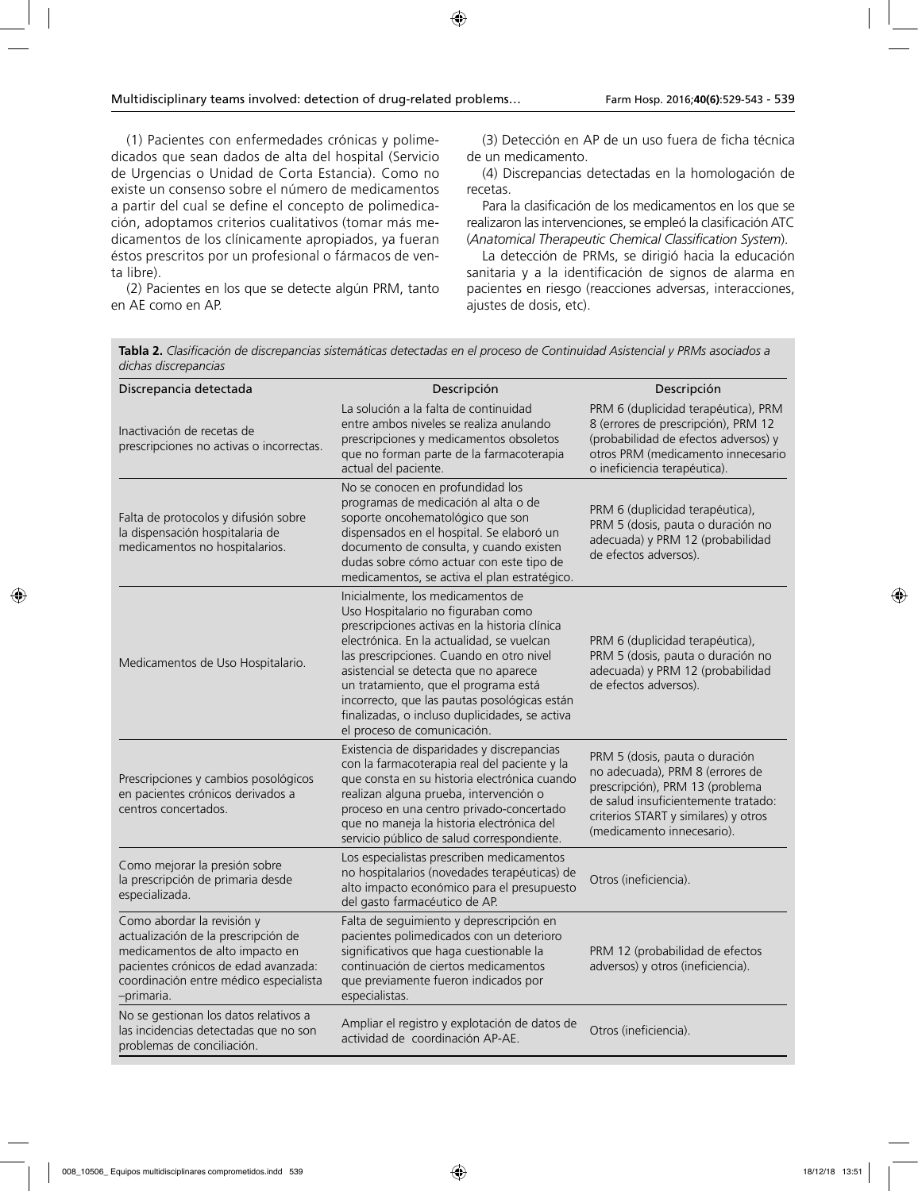(1) Pacientes con enfermedades crónicas y polimedicados que sean dados de alta del hospital (Servicio de Urgencias o Unidad de Corta Estancia). Como no existe un consenso sobre el número de medicamentos a partir del cual se define el concepto de polimedicación, adoptamos criterios cualitativos (tomar más medicamentos de los clínicamente apropiados, ya fueran éstos prescritos por un profesional o fármacos de venta libre).

(2) Pacientes en los que se detecte algún PRM, tanto en AE como en AP.

(3) Detección en AP de un uso fuera de ficha técnica de un medicamento.

(4) Discrepancias detectadas en la homologación de recetas.

Para la clasificación de los medicamentos en los que se realizaron las intervenciones, se empleó la clasificación ATC (*Anatomical Therapeutic Chemical Classification System*).

La detección de PRMs, se dirigió hacia la educación sanitaria y a la identificación de signos de alarma en pacientes en riesgo (reacciones adversas, interacciones, ajustes de dosis, etc).

**Tabla 2.** *Clasificación de discrepancias sistemáticas detectadas en el proceso de Continuidad Asistencial y PRMs asociados a dichas discrepancias*

| Discrepancia detectada                                                                                                                                                                               | Descripción                                                                                                                                                                                                                                                                                                                                                                                                                         | Descripción                                                                                                                                                                                                       |
|------------------------------------------------------------------------------------------------------------------------------------------------------------------------------------------------------|-------------------------------------------------------------------------------------------------------------------------------------------------------------------------------------------------------------------------------------------------------------------------------------------------------------------------------------------------------------------------------------------------------------------------------------|-------------------------------------------------------------------------------------------------------------------------------------------------------------------------------------------------------------------|
| Inactivación de recetas de<br>prescripciones no activas o incorrectas.                                                                                                                               | La solución a la falta de continuidad<br>entre ambos niveles se realiza anulando<br>prescripciones y medicamentos obsoletos<br>que no forman parte de la farmacoterapia<br>actual del paciente.                                                                                                                                                                                                                                     | PRM 6 (duplicidad terapéutica), PRM<br>8 (errores de prescripción), PRM 12<br>(probabilidad de efectos adversos) y<br>otros PRM (medicamento innecesario<br>o ineficiencia terapéutica).                          |
| Falta de protocolos y difusión sobre<br>la dispensación hospitalaria de<br>medicamentos no hospitalarios.                                                                                            | No se conocen en profundidad los<br>programas de medicación al alta o de<br>soporte oncohematológico que son<br>dispensados en el hospital. Se elaboró un<br>documento de consulta, y cuando existen<br>dudas sobre cómo actuar con este tipo de<br>medicamentos, se activa el plan estratégico.                                                                                                                                    | PRM 6 (duplicidad terapéutica),<br>PRM 5 (dosis, pauta o duración no<br>adecuada) y PRM 12 (probabilidad<br>de efectos adversos).                                                                                 |
| Medicamentos de Uso Hospitalario.                                                                                                                                                                    | Inicialmente, los medicamentos de<br>Uso Hospitalario no figuraban como<br>prescripciones activas en la historia clínica<br>electrónica. En la actualidad, se vuelcan<br>las prescripciones. Cuando en otro nivel<br>asistencial se detecta que no aparece<br>un tratamiento, que el programa está<br>incorrecto, que las pautas posológicas están<br>finalizadas, o incluso duplicidades, se activa<br>el proceso de comunicación. | PRM 6 (duplicidad terapéutica),<br>PRM 5 (dosis, pauta o duración no<br>adecuada) y PRM 12 (probabilidad<br>de efectos adversos).                                                                                 |
| Prescripciones y cambios posológicos<br>en pacientes crónicos derivados a<br>centros concertados.                                                                                                    | Existencia de disparidades y discrepancias<br>con la farmacoterapia real del paciente y la<br>que consta en su historia electrónica cuando<br>realizan alguna prueba, intervención o<br>proceso en una centro privado-concertado<br>que no maneja la historia electrónica del<br>servicio público de salud correspondiente.                                                                                                         | PRM 5 (dosis, pauta o duración<br>no adecuada), PRM 8 (errores de<br>prescripción), PRM 13 (problema<br>de salud insuficientemente tratado:<br>criterios START y similares) y otros<br>(medicamento innecesario). |
| Como mejorar la presión sobre<br>la prescripción de primaria desde<br>especializada.                                                                                                                 | Los especialistas prescriben medicamentos<br>no hospitalarios (novedades terapéuticas) de<br>alto impacto económico para el presupuesto<br>del gasto farmacéutico de AP.                                                                                                                                                                                                                                                            | Otros (ineficiencia).                                                                                                                                                                                             |
| Como abordar la revisión y<br>actualización de la prescripción de<br>medicamentos de alto impacto en<br>pacientes crónicos de edad avanzada:<br>coordinación entre médico especialista<br>-primaria. | Falta de seguimiento y deprescripción en<br>pacientes polimedicados con un deterioro<br>significativos que haga cuestionable la<br>continuación de ciertos medicamentos<br>que previamente fueron indicados por<br>especialistas.                                                                                                                                                                                                   | PRM 12 (probabilidad de efectos<br>adversos) y otros (ineficiencia).                                                                                                                                              |
| No se gestionan los datos relativos a<br>las incidencias detectadas que no son<br>problemas de conciliación.                                                                                         | Ampliar el registro y explotación de datos de<br>actividad de coordinación AP-AE.                                                                                                                                                                                                                                                                                                                                                   | Otros (ineficiencia).                                                                                                                                                                                             |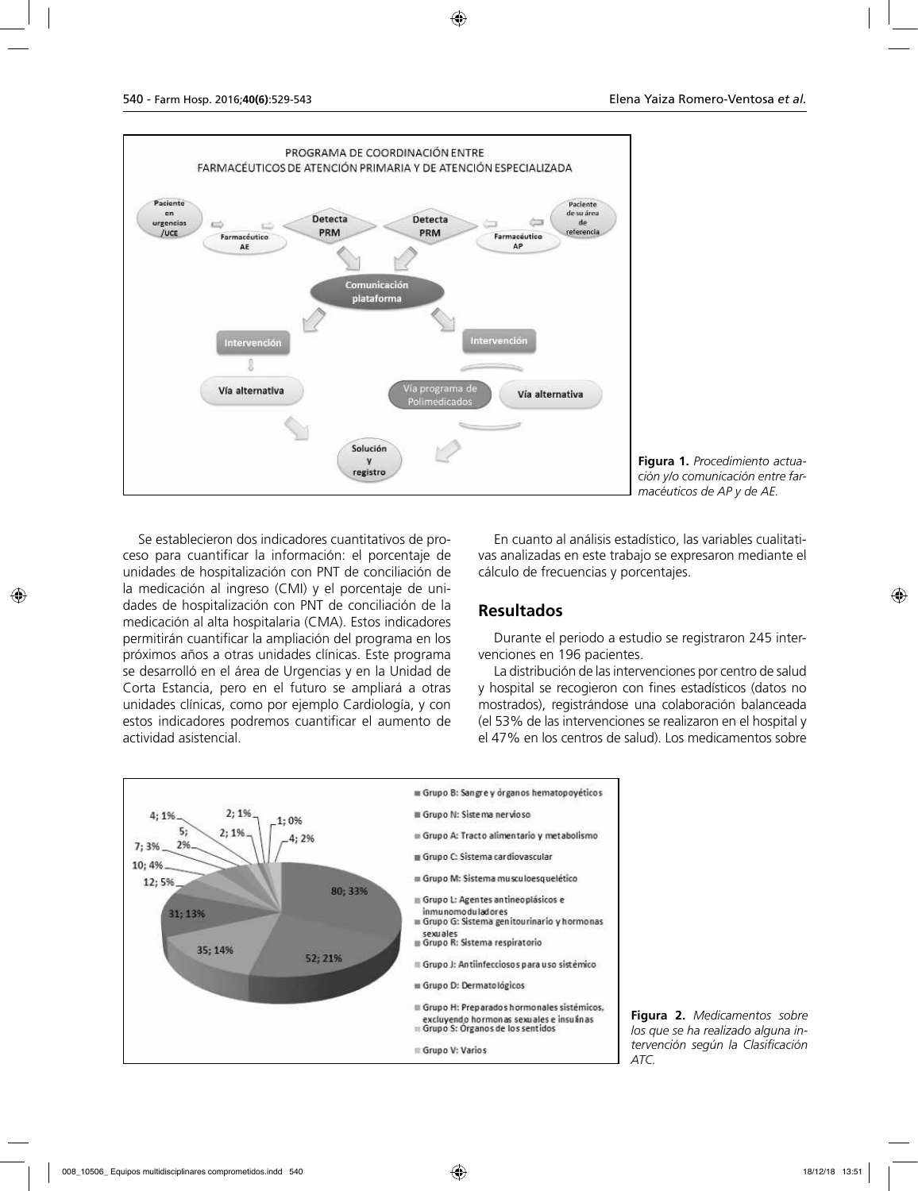

**Figura 1.** *Procedimiento actuación y/o comunicación entre farmacéuticos de AP y de AE.*

Se establecieron dos indicadores cuantitativos de proceso para cuantificar la información: el porcentaje de unidades de hospitalización con PNT de conciliación de la medicación al ingreso (CMI) y el porcentaje de unidades de hospitalización con PNT de conciliación de la medicación al alta hospitalaria (CMA). Estos indicadores permitirán cuantificar la ampliación del programa en los próximos años a otras unidades clínicas. Este programa se desarrolló en el área de Urgencias y en la Unidad de Corta Estancia, pero en el futuro se ampliará a otras unidades clínicas, como por ejemplo Cardiología, y con estos indicadores podremos cuantificar el aumento de actividad asistencial.

En cuanto al análisis estadístico, las variables cualitativas analizadas en este trabajo se expresaron mediante el cálculo de frecuencias y porcentajes.

### **Resultados**

Durante el periodo a estudio se registraron 245 intervenciones en 196 pacientes.

La distribución de las intervenciones por centro de salud y hospital se recogieron con fines estadísticos (datos no mostrados), registrándose una colaboración balanceada (el 53% de las intervenciones se realizaron en el hospital y el 47% en los centros de salud). Los medicamentos sobre



**Figura 2.** *Medicamentos sobre los que se ha realizado alguna intervención según la Clasificación*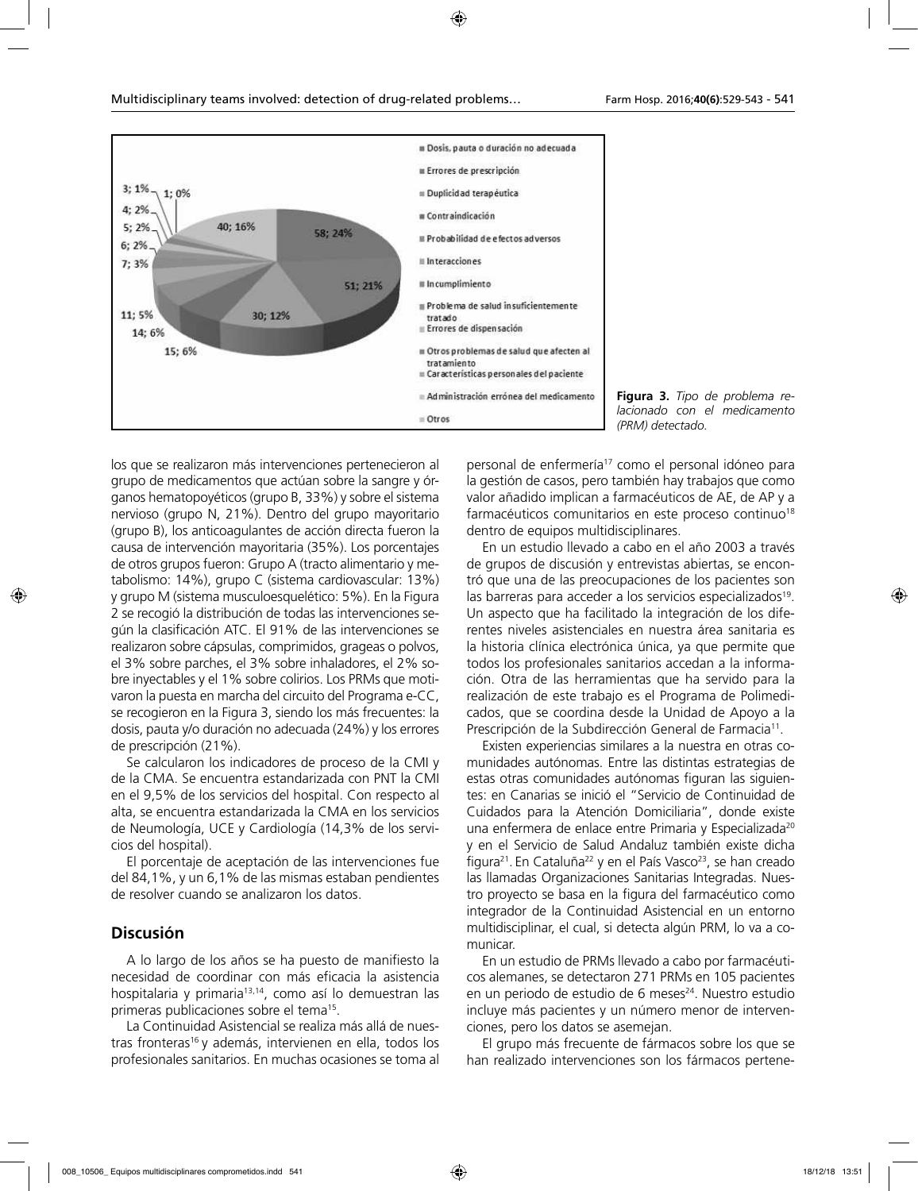

**Figura 3.** *Tipo de problema relacionado con el medicamento (PRM) detectado.*

los que se realizaron más intervenciones pertenecieron al grupo de medicamentos que actúan sobre la sangre y órganos hematopoyéticos (grupo B, 33%) y sobre el sistema nervioso (grupo N, 21%). Dentro del grupo mayoritario (grupo B), los anticoagulantes de acción directa fueron la causa de intervención mayoritaria (35%). Los porcentajes de otros grupos fueron: Grupo A (tracto alimentario y metabolismo: 14%), grupo C (sistema cardiovascular: 13%) y grupo M (sistema musculoesquelético: 5%). En la Figura 2 se recogió la distribución de todas las intervenciones según la clasificación ATC. El 91% de las intervenciones se realizaron sobre cápsulas, comprimidos, grageas o polvos, el 3% sobre parches, el 3% sobre inhaladores, el 2% sobre inyectables y el 1% sobre colirios. Los PRMs que motivaron la puesta en marcha del circuito del Programa e-CC, se recogieron en la Figura 3, siendo los más frecuentes: la dosis, pauta y/o duración no adecuada (24%) y los errores de prescripción (21%).

Se calcularon los indicadores de proceso de la CMI y de la CMA. Se encuentra estandarizada con PNT la CMI en el 9,5% de los servicios del hospital. Con respecto al alta, se encuentra estandarizada la CMA en los servicios de Neumología, UCE y Cardiología (14,3% de los servicios del hospital).

El porcentaje de aceptación de las intervenciones fue del 84,1%, y un 6,1% de las mismas estaban pendientes de resolver cuando se analizaron los datos.

#### **Discusión**

A lo largo de los años se ha puesto de manifiesto la necesidad de coordinar con más eficacia la asistencia hospitalaria y primaria<sup>13,14</sup>, como así lo demuestran las primeras publicaciones sobre el tema15.

La Continuidad Asistencial se realiza más allá de nuestras fronteras<sup>16</sup> y además, intervienen en ella, todos los profesionales sanitarios. En muchas ocasiones se toma al

personal de enfermería17 como el personal idóneo para la gestión de casos, pero también hay trabajos que como valor añadido implican a farmacéuticos de AE, de AP y a farmacéuticos comunitarios en este proceso continuo<sup>18</sup> dentro de equipos multidisciplinares.

En un estudio llevado a cabo en el año 2003 a través de grupos de discusión y entrevistas abiertas, se encontró que una de las preocupaciones de los pacientes son las barreras para acceder a los servicios especializados<sup>19</sup>. Un aspecto que ha facilitado la integración de los diferentes niveles asistenciales en nuestra área sanitaria es la historia clínica electrónica única, ya que permite que todos los profesionales sanitarios accedan a la información. Otra de las herramientas que ha servido para la realización de este trabajo es el Programa de Polimedicados, que se coordina desde la Unidad de Apoyo a la Prescripción de la Subdirección General de Farmacia<sup>11</sup>.

Existen experiencias similares a la nuestra en otras comunidades autónomas. Entre las distintas estrategias de estas otras comunidades autónomas figuran las siguientes: en Canarias se inició el "Servicio de Continuidad de Cuidados para la Atención Domiciliaria", donde existe una enfermera de enlace entre Primaria y Especializada<sup>20</sup> y en el Servicio de Salud Andaluz también existe dicha figura<sup>21</sup>. En Cataluña<sup>22</sup> y en el País Vasco<sup>23</sup>, se han creado las llamadas Organizaciones Sanitarias Integradas. Nuestro proyecto se basa en la figura del farmacéutico como integrador de la Continuidad Asistencial en un entorno multidisciplinar, el cual, si detecta algún PRM, lo va a comunicar.

En un estudio de PRMs llevado a cabo por farmacéuticos alemanes, se detectaron 271 PRMs en 105 pacientes en un periodo de estudio de 6 meses $24$ . Nuestro estudio incluye más pacientes y un número menor de intervenciones, pero los datos se asemejan.

El grupo más frecuente de fármacos sobre los que se han realizado intervenciones son los fármacos pertene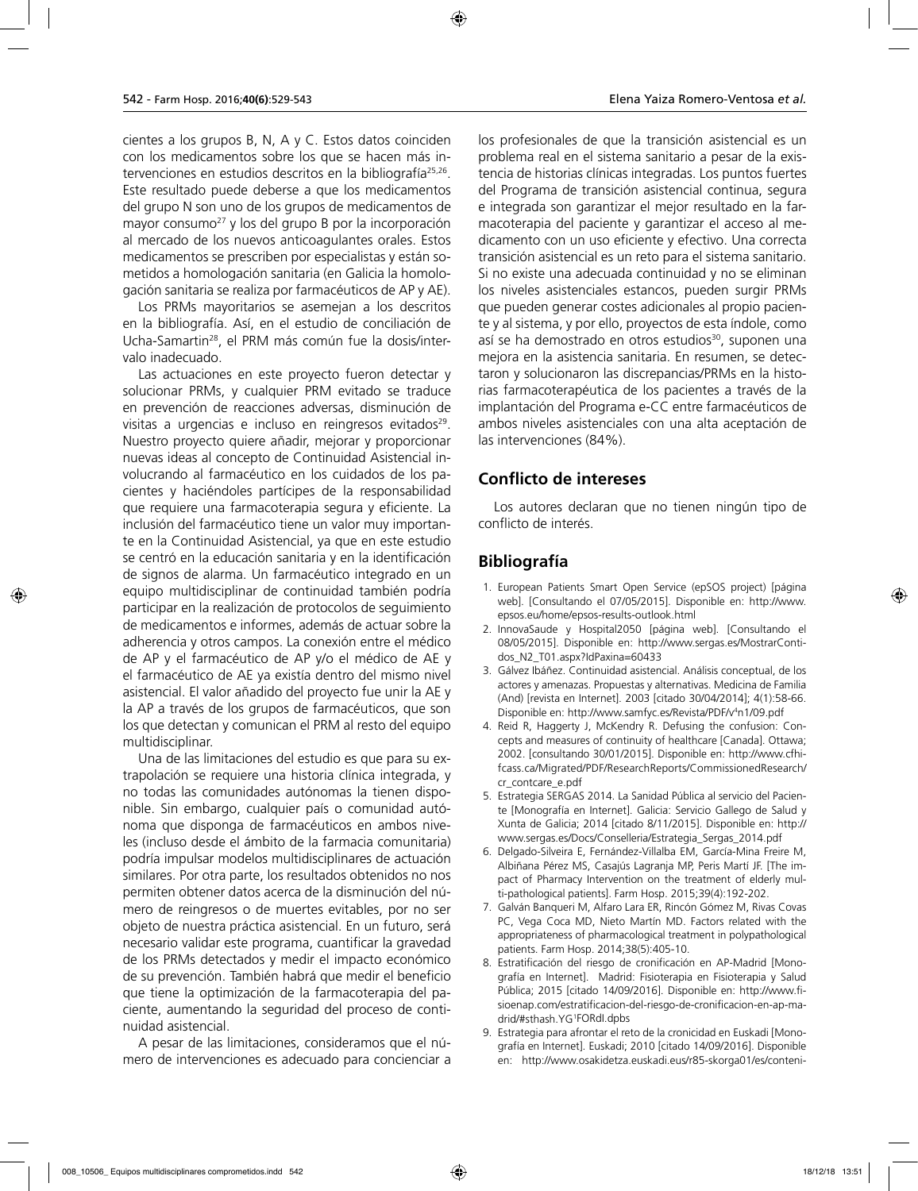cientes a los grupos B, N, A y C. Estos datos coinciden con los medicamentos sobre los que se hacen más intervenciones en estudios descritos en la bibliografía<sup>25,26</sup>. Este resultado puede deberse a que los medicamentos del grupo N son uno de los grupos de medicamentos de mayor consumo<sup>27</sup> y los del grupo B por la incorporación al mercado de los nuevos anticoagulantes orales. Estos medicamentos se prescriben por especialistas y están sometidos a homologación sanitaria (en Galicia la homologación sanitaria se realiza por farmacéuticos de AP y AE).

Los PRMs mayoritarios se asemejan a los descritos en la bibliografía. Así, en el estudio de conciliación de Ucha-Samartin28, el PRM más común fue la dosis/intervalo inadecuado.

Las actuaciones en este proyecto fueron detectar y solucionar PRMs, y cualquier PRM evitado se traduce en prevención de reacciones adversas, disminución de visitas a urgencias e incluso en reingresos evitados<sup>29</sup>. Nuestro proyecto quiere añadir, mejorar y proporcionar nuevas ideas al concepto de Continuidad Asistencial involucrando al farmacéutico en los cuidados de los pacientes y haciéndoles partícipes de la responsabilidad que requiere una farmacoterapia segura y eficiente. La inclusión del farmacéutico tiene un valor muy importante en la Continuidad Asistencial, ya que en este estudio se centró en la educación sanitaria y en la identificación de signos de alarma. Un farmacéutico integrado en un equipo multidisciplinar de continuidad también podría participar en la realización de protocolos de seguimiento de medicamentos e informes, además de actuar sobre la adherencia y otros campos. La conexión entre el médico de AP y el farmacéutico de AP y/o el médico de AE y el farmacéutico de AE ya existía dentro del mismo nivel asistencial. El valor añadido del proyecto fue unir la AE y la AP a través de los grupos de farmacéuticos, que son los que detectan y comunican el PRM al resto del equipo multidisciplinar.

Una de las limitaciones del estudio es que para su extrapolación se requiere una historia clínica integrada, y no todas las comunidades autónomas la tienen disponible. Sin embargo, cualquier país o comunidad autónoma que disponga de farmacéuticos en ambos niveles (incluso desde el ámbito de la farmacia comunitaria) podría impulsar modelos multidisciplinares de actuación similares. Por otra parte, los resultados obtenidos no nos permiten obtener datos acerca de la disminución del número de reingresos o de muertes evitables, por no ser objeto de nuestra práctica asistencial. En un futuro, será necesario validar este programa, cuantificar la gravedad de los PRMs detectados y medir el impacto económico de su prevención. También habrá que medir el beneficio que tiene la optimización de la farmacoterapia del paciente, aumentando la seguridad del proceso de continuidad asistencial.

A pesar de las limitaciones, consideramos que el número de intervenciones es adecuado para concienciar a los profesionales de que la transición asistencial es un problema real en el sistema sanitario a pesar de la existencia de historias clínicas integradas. Los puntos fuertes del Programa de transición asistencial continua, segura e integrada son garantizar el mejor resultado en la farmacoterapia del paciente y garantizar el acceso al medicamento con un uso eficiente y efectivo. Una correcta transición asistencial es un reto para el sistema sanitario. Si no existe una adecuada continuidad y no se eliminan los niveles asistenciales estancos, pueden surgir PRMs que pueden generar costes adicionales al propio paciente y al sistema, y por ello, proyectos de esta índole, como así se ha demostrado en otros estudios<sup>30</sup>, suponen una mejora en la asistencia sanitaria. En resumen, se detectaron y solucionaron las discrepancias/PRMs en la historias farmacoterapéutica de los pacientes a través de la implantación del Programa e-CC entre farmacéuticos de ambos niveles asistenciales con una alta aceptación de las intervenciones (84%).

### **Conflicto de intereses**

Los autores declaran que no tienen ningún tipo de conflicto de interés.

## **Bibliografía**

- 1. European Patients Smart Open Service (epSOS project) [página web]. [Consultando el 07/05/2015]. Disponible en: http://www. epsos.eu/home/epsos-results-outlook.html
- 2. InnovaSaude y Hospital2050 [página web]. [Consultando el 08/05/2015]. Disponible en: http://www.sergas.es/MostrarContidos\_N2\_T01.aspx?IdPaxina=60433
- 3. Gálvez Ibáñez. Continuidad asistencial. Análisis conceptual, de los actores y amenazas. Propuestas y alternativas. Medicina de Familia (And) [revista en Internet]. 2003 [citado 30/04/2014]; 4(1):58-66. Disponible en: http://www.samfyc.es/Revista/PDF/v<sup>4</sup>n1/09.pdf
- 4. Reid R, Haggerty J, McKendry R. Defusing the confusion: Concepts and measures of continuity of healthcare [Canada]. Ottawa; 2002. [consultando 30/01/2015]. Disponible en: http://www.cfhifcass.ca/Migrated/PDF/ResearchReports/CommissionedResearch/ cr\_contcare\_e.pdf
- 5. Estrategia SERGAS 2014. La Sanidad Pública al servicio del Paciente [Monografía en Internet]. Galicia: Servicio Gallego de Salud y Xunta de Galicia; 2014 [citado 8/11/2015]. Disponible en: http:// www.sergas.es/Docs/Conselleria/Estrategia\_Sergas\_2014.pdf
- 6. Delgado-Silveira E, Fernández-Villalba EM, García-Mina Freire M, Albiñana Pérez MS, Casajús Lagranja MP, Peris Martí JF. [The impact of Pharmacy Intervention on the treatment of elderly multi-pathological patients]. Farm Hosp. 2015;39(4):192-202.
- 7. Galván Banqueri M, Alfaro Lara ER, Rincón Gómez M, Rivas Covas PC, Vega Coca MD, Nieto Martín MD. Factors related with the appropriateness of pharmacological treatment in polypathological patients. Farm Hosp. 2014;38(5):405-10.
- 8. Estratificación del riesgo de cronificación en AP-Madrid [Monografía en Internet]. Madrid: Fisioterapia en Fisioterapia y Salud Pública; 2015 [citado 14/09/2016]. Disponible en: http://www.fisioenap.com/estratificacion-del-riesgo-de-cronificacion-en-ap-madrid/#sthash.YG1 FORdI.dpbs
- 9. Estrategia para afrontar el reto de la cronicidad en Euskadi [Monografía en Internet]. Euskadi; 2010 [citado 14/09/2016]. Disponible en: http://www.osakidetza.euskadi.eus/r85-skorga01/es/conteni-